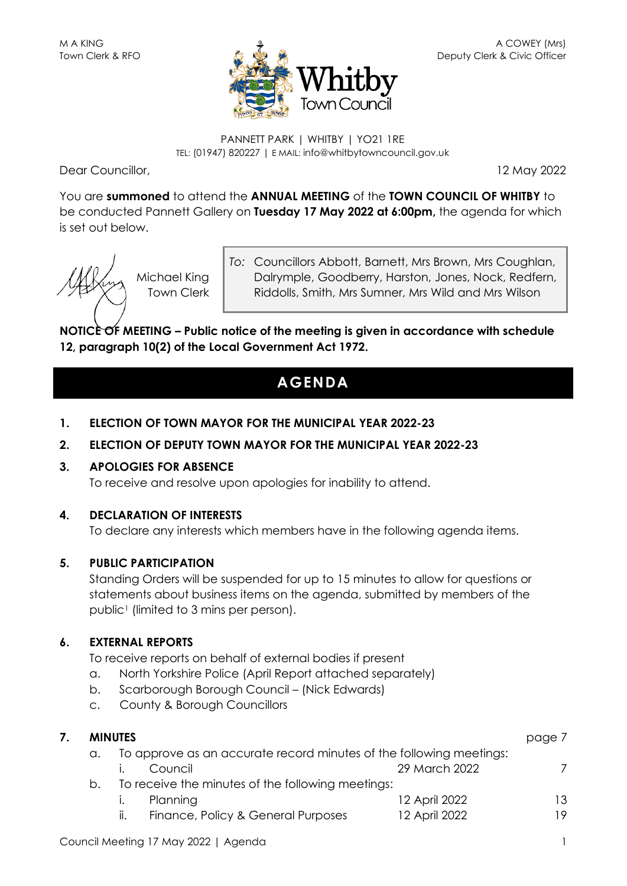

#### PANNETT PARK | WHITBY | YO21 1RE TEL: (01947) 820227 | E MAIL: info@whitbytowncouncil.gov.uk

Dear Councillor, 12 May 2022

You are **summoned** to attend the **ANNUAL MEETING** of the **TOWN COUNCIL OF WHITBY** to be conducted Pannett Gallery on **Tuesday 17 May 2022 at 6:00pm,** the agenda for which is set out below.



Michael King Town Clerk *To:* Councillors Abbott, Barnett, Mrs Brown, Mrs Coughlan, Dalrymple, Goodberry, Harston, Jones, Nock, Redfern, Riddolls, Smith, Mrs Sumner, Mrs Wild and Mrs Wilson

**NOTICE OF MEETING – Public notice of the meeting is given in accordance with schedule 12, paragraph 10(2) of the Local Government Act 1972.**

## **AGENDA**

**1. ELECTION OF TOWN MAYOR FOR THE MUNICIPAL YEAR 2022-23**

## **2. ELECTION OF DEPUTY TOWN MAYOR FOR THE MUNICIPAL YEAR 2022-23**

## **3. APOLOGIES FOR ABSENCE**

To receive and resolve upon apologies for inability to attend.

## **4. DECLARATION OF INTERESTS**

To declare any interests which members have in the following agenda items.

## **5. PUBLIC PARTICIPATION**

Standing Orders will be suspended for up to 15 minutes to allow for questions or statements about business items on the agenda, submitted by members of the public<sup>1</sup> (limited to 3 mins per person).

## **6. EXTERNAL REPORTS**

To receive reports on behalf of external bodies if present

- a. North Yorkshire Police (April Report attached separately)
- b. Scarborough Borough Council (Nick Edwards)
- c. County & Borough Councillors

| <b>MINUTES</b> |                                                   |                                                                     |               |    |  |
|----------------|---------------------------------------------------|---------------------------------------------------------------------|---------------|----|--|
| a.             |                                                   | To approve as an accurate record minutes of the following meetings: |               |    |  |
|                | Council                                           |                                                                     | 29 March 2022 |    |  |
| b.             | To receive the minutes of the following meetings: |                                                                     |               |    |  |
|                | Planning                                          |                                                                     | 12 April 2022 | 13 |  |
|                | $\mathbf{II}$ .                                   | Finance, Policy & General Purposes                                  | 12 April 2022 | 19 |  |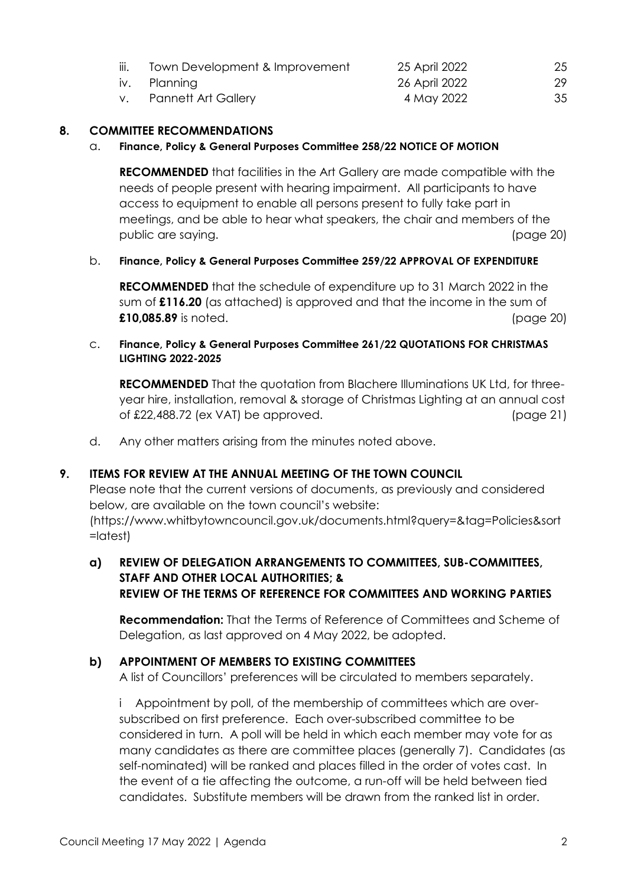| III. | Town Development & Improvement | 25 April 2022 | 25 |
|------|--------------------------------|---------------|----|
|      | iv. Planning                   | 26 April 2022 | 29 |
|      | v. Pannett Art Gallery         | 4 May 2022    | 35 |

#### **8. COMMITTEE RECOMMENDATIONS**

#### a. **Finance, Policy & General Purposes Committee 258/22 NOTICE OF MOTION**

**RECOMMENDED** that facilities in the Art Gallery are made compatible with the needs of people present with hearing impairment. All participants to have access to equipment to enable all persons present to fully take part in meetings, and be able to hear what speakers, the chair and members of the public are saying. (page 20)

#### b. **Finance, Policy & General Purposes Committee 259/22 APPROVAL OF EXPENDITURE**

**RECOMMENDED** that the schedule of expenditure up to 31 March 2022 in the sum of **£116.20** (as attached) is approved and that the income in the sum of **£10,085.89** is noted. (page 20)

#### c. **Finance, Policy & General Purposes Committee 261/22 QUOTATIONS FOR CHRISTMAS LIGHTING 2022-2025**

**RECOMMENDED** That the quotation from Blachere Illuminations UK Ltd, for threeyear hire, installation, removal & storage of Christmas Lighting at an annual cost of £22,488.72 (ex VAT) be approved. (page 21)

d. Any other matters arising from the minutes noted above.

#### **9. ITEMS FOR REVIEW AT THE ANNUAL MEETING OF THE TOWN COUNCIL**

Please note that the current versions of documents, as previously and considered below, are available on the town council's website: (https://www.whitbytowncouncil.gov.uk/documents.html?query=&tag=Policies&sort =latest)

## **a) REVIEW OF DELEGATION ARRANGEMENTS TO COMMITTEES, SUB-COMMITTEES, STAFF AND OTHER LOCAL AUTHORITIES; & REVIEW OF THE TERMS OF REFERENCE FOR COMMITTEES AND WORKING PARTIES**

**Recommendation:** That the Terms of Reference of Committees and Scheme of Delegation, as last approved on 4 May 2022, be adopted.

#### **b) APPOINTMENT OF MEMBERS TO EXISTING COMMITTEES**

A list of Councillors' preferences will be circulated to members separately.

i Appointment by poll, of the membership of committees which are oversubscribed on first preference. Each over-subscribed committee to be considered in turn. A poll will be held in which each member may vote for as many candidates as there are committee places (generally 7). Candidates (as self-nominated) will be ranked and places filled in the order of votes cast. In the event of a tie affecting the outcome, a run-off will be held between tied candidates. Substitute members will be drawn from the ranked list in order.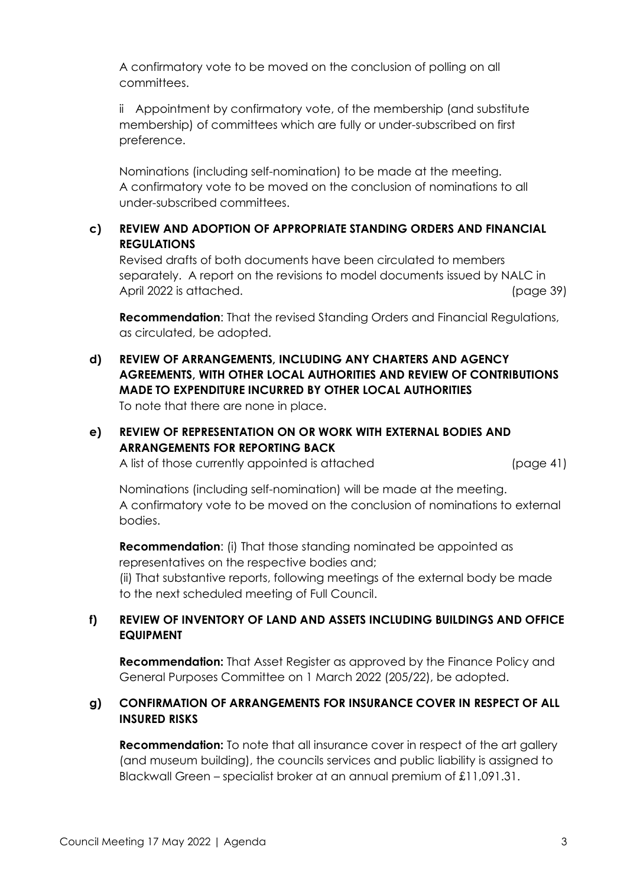A confirmatory vote to be moved on the conclusion of polling on all committees.

ii Appointment by confirmatory vote, of the membership (and substitute membership) of committees which are fully or under-subscribed on first preference.

Nominations (including self-nomination) to be made at the meeting. A confirmatory vote to be moved on the conclusion of nominations to all under-subscribed committees.

## **c) REVIEW AND ADOPTION OF APPROPRIATE STANDING ORDERS AND FINANCIAL REGULATIONS**

Revised drafts of both documents have been circulated to members separately. A report on the revisions to model documents issued by NALC in April 2022 is attached. (page 39)

**Recommendation**: That the revised Standing Orders and Financial Regulations, as circulated, be adopted.

**d) REVIEW OF ARRANGEMENTS, INCLUDING ANY CHARTERS AND AGENCY AGREEMENTS, WITH OTHER LOCAL AUTHORITIES AND REVIEW OF CONTRIBUTIONS MADE TO EXPENDITURE INCURRED BY OTHER LOCAL AUTHORITIES** To note that there are none in place.

## **e) REVIEW OF REPRESENTATION ON OR WORK WITH EXTERNAL BODIES AND ARRANGEMENTS FOR REPORTING BACK**

A list of those currently appointed is attached (page 41)

Nominations (including self-nomination) will be made at the meeting. A confirmatory vote to be moved on the conclusion of nominations to external bodies.

**Recommendation**: (i) That those standing nominated be appointed as representatives on the respective bodies and;

(ii) That substantive reports, following meetings of the external body be made to the next scheduled meeting of Full Council.

## **f) REVIEW OF INVENTORY OF LAND AND ASSETS INCLUDING BUILDINGS AND OFFICE EQUIPMENT**

**Recommendation:** That Asset Register as approved by the Finance Policy and General Purposes Committee on 1 March 2022 (205/22), be adopted.

## **g) CONFIRMATION OF ARRANGEMENTS FOR INSURANCE COVER IN RESPECT OF ALL INSURED RISKS**

**Recommendation:** To note that all insurance cover in respect of the art gallery (and museum building), the councils services and public liability is assigned to Blackwall Green – specialist broker at an annual premium of £11,091.31.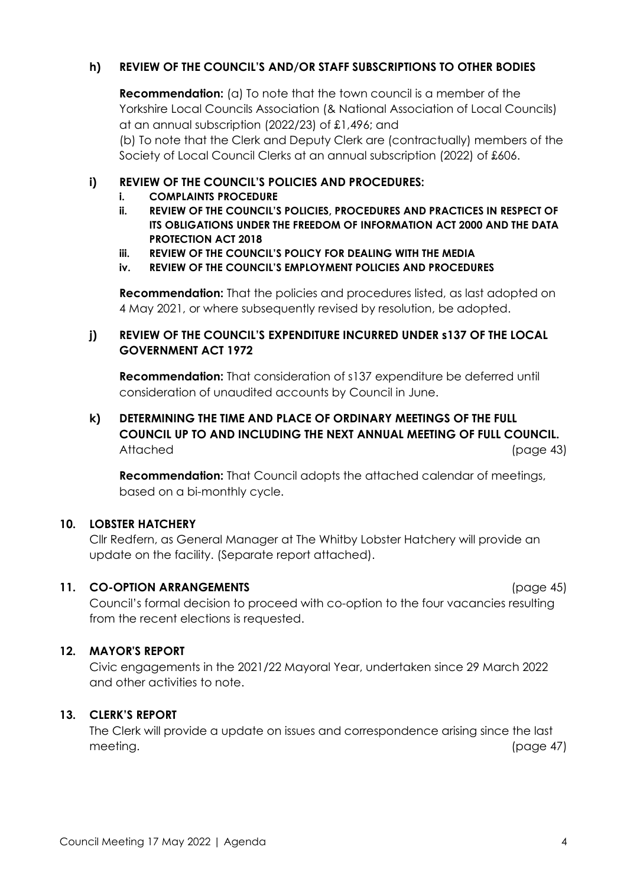## **h) REVIEW OF THE COUNCIL'S AND/OR STAFF SUBSCRIPTIONS TO OTHER BODIES**

**Recommendation:** (a) To note that the town council is a member of the Yorkshire Local Councils Association (& National Association of Local Councils) at an annual subscription (2022/23) of £1,496; and (b) To note that the Clerk and Deputy Clerk are (contractually) members of the Society of Local Council Clerks at an annual subscription (2022) of £606.

## **i) REVIEW OF THE COUNCIL'S POLICIES AND PROCEDURES:**

- **i. COMPLAINTS PROCEDURE**
- **ii. REVIEW OF THE COUNCIL'S POLICIES, PROCEDURES AND PRACTICES IN RESPECT OF ITS OBLIGATIONS UNDER THE FREEDOM OF INFORMATION ACT 2000 AND THE DATA PROTECTION ACT 2018**
- **iii. REVIEW OF THE COUNCIL'S POLICY FOR DEALING WITH THE MEDIA**
- **iv. REVIEW OF THE COUNCIL'S EMPLOYMENT POLICIES AND PROCEDURES**

**Recommendation:** That the policies and procedures listed, as last adopted on 4 May 2021, or where subsequently revised by resolution, be adopted.

## **j) REVIEW OF THE COUNCIL'S EXPENDITURE INCURRED UNDER s137 OF THE LOCAL GOVERNMENT ACT 1972**

**Recommendation:** That consideration of s137 expenditure be deferred until consideration of unaudited accounts by Council in June.

## **k) DETERMINING THE TIME AND PLACE OF ORDINARY MEETINGS OF THE FULL COUNCIL UP TO AND INCLUDING THE NEXT ANNUAL MEETING OF FULL COUNCIL.** Attached (page 43)

**Recommendation:** That Council adopts the attached calendar of meetings, based on a bi-monthly cycle.

## **10. LOBSTER HATCHERY**

Cllr Redfern, as General Manager at The Whitby Lobster Hatchery will provide an update on the facility. (Separate report attached).

## **11. CO-OPTION ARRANGEMENTS** (page 45)

Council's formal decision to proceed with co-option to the four vacancies resulting from the recent elections is requested.

## **12. MAYOR'S REPORT**

Civic engagements in the 2021/22 Mayoral Year, undertaken since 29 March 2022 and other activities to note.

## **13. CLERK'S REPORT**

The Clerk will provide a update on issues and correspondence arising since the last meeting. (page 47)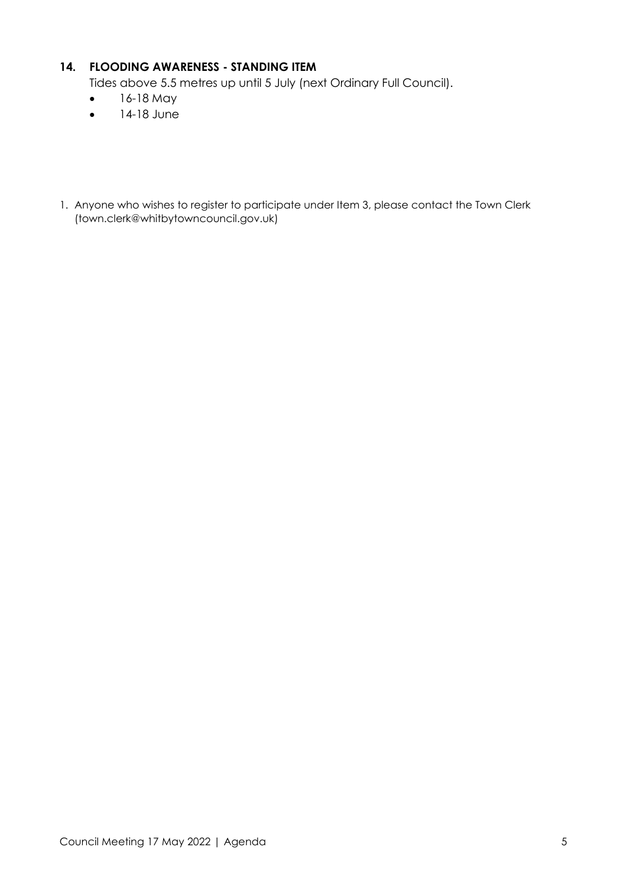## **14. FLOODING AWARENESS - STANDING ITEM**

Tides above 5.5 metres up until 5 July (next Ordinary Full Council).

- 16-18 May
- 14-18 June
- 1. Anyone who wishes to register to participate under Item 3, please contact the Town Clerk (town.clerk@whitbytowncouncil.gov.uk)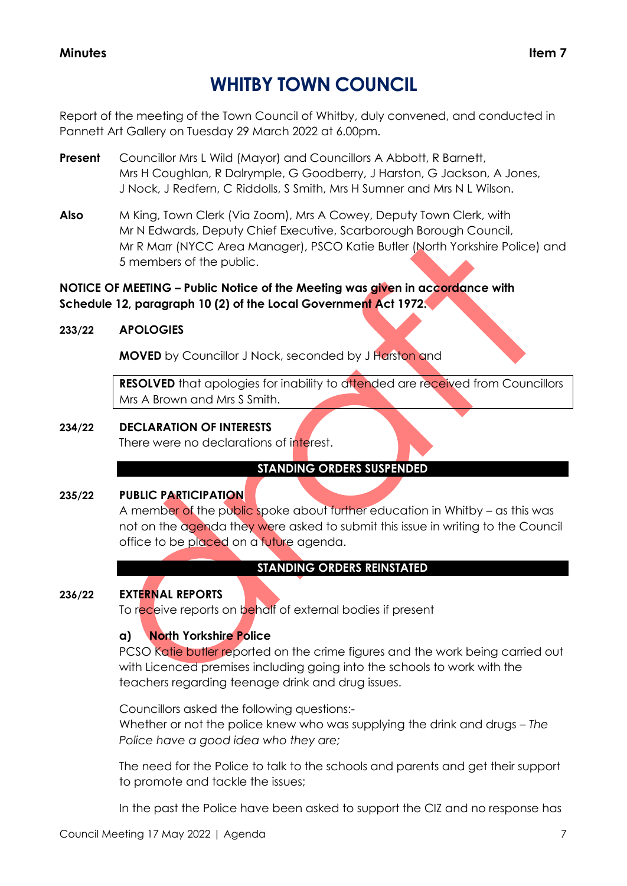## **WHITBY TOWN COUNCIL**

Report of the meeting of the Town Council of Whitby, duly convened, and conducted in Pannett Art Gallery on Tuesday 29 March 2022 at 6.00pm.

- **Present** Councillor Mrs L Wild (Mayor) and Councillors A Abbott, R Barnett, Mrs H Coughlan, R Dalrymple, G Goodberry, J Harston, G Jackson, A Jones, J Nock, J Redfern, C Riddolls, S Smith, Mrs H Sumner and Mrs N L Wilson.
- **Also** M King, Town Clerk (Via Zoom), Mrs A Cowey, Deputy Town Clerk, with Mr N Edwards, Deputy Chief Executive, Scarborough Borough Council, Mr R Marr (NYCC Area Manager), PSCO Katie Butler (North Yorkshire Police) and 5 members of the public.

## **NOTICE OF MEETING – Public Notice of the Meeting was given in accordance with Schedule 12, paragraph 10 (2) of the Local Government Act 1972.**

## **233/22 APOLOGIES**

**MOVED** by Councillor J Nock, seconded by J Harston and

**RESOLVED** that apologies for inability to attended are received from Councillors Mrs A Brown and Mrs S Smith.

#### **234/22 DECLARATION OF INTERESTS**

There were no declarations of interest.

## **STANDING ORDERS SUSPENDED**

## **235/22 PUBLIC PARTICIPATION**

A member of the public spoke about further education in Whitby - as this was not on the agenda they were asked to submit this issue in writing to the Council office to be placed on a future agenda.

## **STANDING ORDERS REINSTATED**

## **236/22 EXTERNAL REPORTS**

To receive reports on behalf of external bodies if present

## **a) North Yorkshire Police**

PCSO Katie butler reported on the crime figures and the work being carried out with Licenced premises including going into the schools to work with the teachers regarding teenage drink and drug issues.

Councillors asked the following questions:- Whether or not the police knew who was supplying the drink and drugs – *The Police have a good idea who they are;*

The need for the Police to talk to the schools and parents and get their support to promote and tackle the issues;

In the past the Police have been asked to support the CIZ and no response has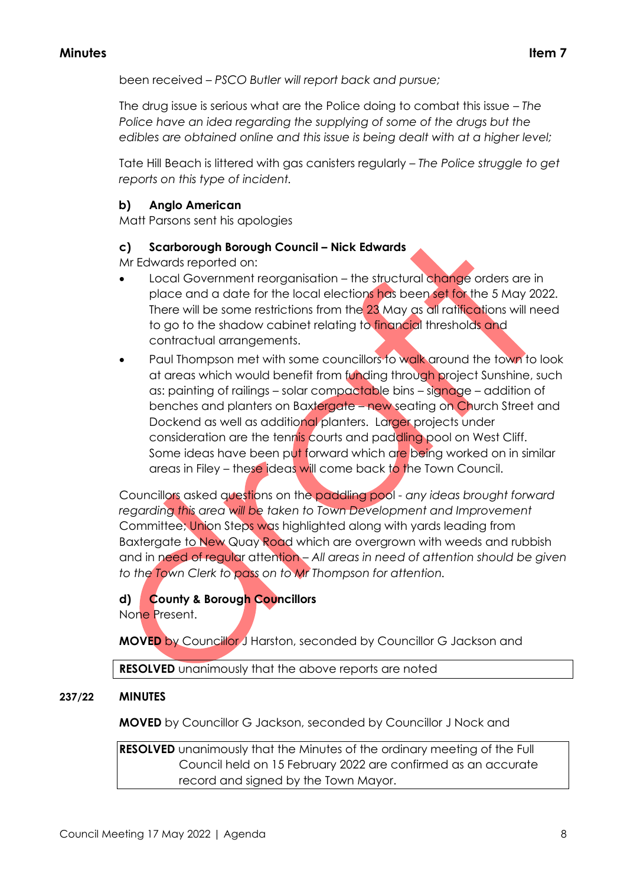been received – *PSCO Butler will report back and pursue;*

The drug issue is serious what are the Police doing to combat this issue – *The Police have an idea regarding the supplying of some of the drugs but the edibles are obtained online and this issue is being dealt with at a higher level;*

Tate Hill Beach is littered with gas canisters regularly – *The Police struggle to get reports on this type of incident.*

## **b) Anglo American**

Matt Parsons sent his apologies

## **c) Scarborough Borough Council – Nick Edwards**

Mr Edwards reported on:

- Local Government reorganisation the structural change orders are in place and a date for the local elections has been set for the 5 May 2022. There will be some restrictions from the 23 May as all ratifications will need to go to the shadow cabinet relating to financial thresholds and contractual arrangements.
- Paul Thompson met with some councillors to walk around the town to look at areas which would benefit from funding through project Sunshine, such as: painting of railings – solar compactable bins – signage – addition of benches and planters on Baxtergate – new seating on Church Street and Dockend as well as additional planters. Larger projects under consideration are the tennis courts and paddling pool on West Cliff. Some ideas have been put forward which are being worked on in similar areas in Filey – these ideas will come back to the Town Council.

Councillors asked questions on the paddling pool *- any ideas brought forward regarding this area will be taken to Town Development and Improvement* Committee; Union Steps was highlighted along with yards leading from Baxtergate to New Quay Road which are overgrown with weeds and rubbish and in need of regular attention – *All areas in need of attention should be given to the Town Clerk to pass on to Mr Thompson for attention.*

## **d) County & Borough Councillors**

None Present.

**MOVED** by Councillor J Harston, seconded by Councillor G Jackson and

**RESOLVED** unanimously that the above reports are noted

## **237/22 MINUTES**

**MOVED** by Councillor G Jackson, seconded by Councillor J Nock and

**RESOLVED** unanimously that the Minutes of the ordinary meeting of the Full Council held on 15 February 2022 are confirmed as an accurate record and signed by the Town Mayor.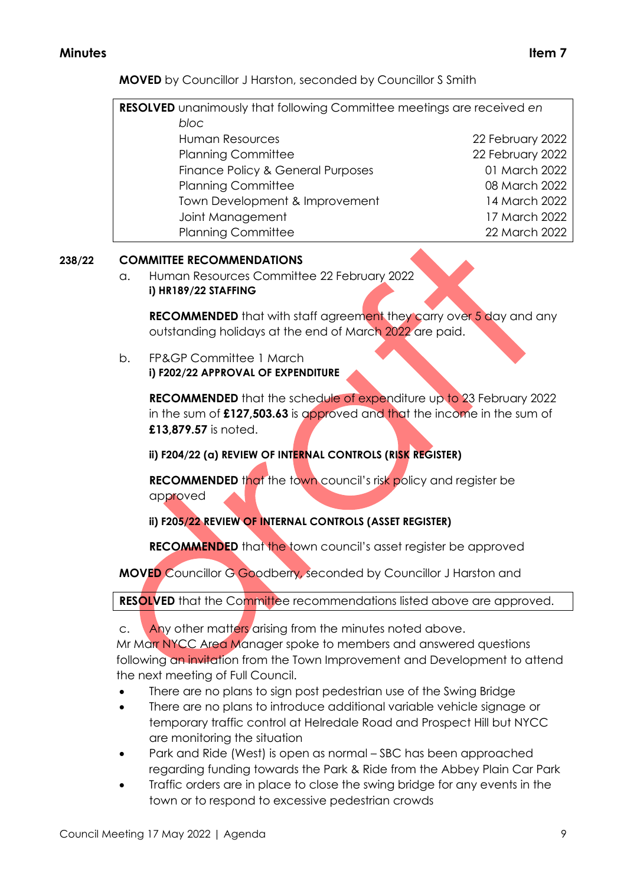**MOVED** by Councillor J Harston, seconded by Councillor S Smith

| <b>RESOLVED</b> unanimously that following Committee meetings are received en |                  |  |
|-------------------------------------------------------------------------------|------------------|--|
| bloc                                                                          |                  |  |
| <b>Human Resources</b>                                                        | 22 February 2022 |  |
| <b>Planning Committee</b>                                                     | 22 February 2022 |  |
| Finance Policy & General Purposes                                             | 01 March 2022    |  |
| <b>Planning Committee</b>                                                     | 08 March 2022    |  |
| Town Development & Improvement                                                | 14 March 2022    |  |
| Joint Management                                                              | 17 March 2022    |  |
| <b>Planning Committee</b>                                                     | 22 March 2022    |  |

## **238/22 COMMITTEE RECOMMENDATIONS**

a. Human Resources Committee 22 February 2022 **i) HR189/22 STAFFING** 

**RECOMMENDED** that with staff agreement they carry over 5 day and any outstanding holidays at the end of March 2022 are paid.

b. FP&GP Committee 1 March **i) F202/22 APPROVAL OF EXPENDITURE** 

> **RECOMMENDED** that the schedule of expenditure up to 23 February 2022 in the sum of **£127,503.63** is approved and that the income in the sum of **£13,879.57** is noted.

**ii) F204/22 (a) REVIEW OF INTERNAL CONTROLS (RISK REGISTER)**

**RECOMMENDED** that the town council's risk policy and register be approved

**ii) F205/22 REVIEW OF INTERNAL CONTROLS (ASSET REGISTER)**

**RECOMMENDED** that the town council's asset register be approved

**MOVED** Councillor G Goodberry, seconded by Councillor J Harston and

**RESOLVED** that the Committee recommendations listed above are approved.

c. Any other matters arising from the minutes noted above.

Mr Marr NYCC Area Manager spoke to members and answered questions following an invitation from the Town Improvement and Development to attend the next meeting of Full Council.

- There are no plans to sign post pedestrian use of the Swing Bridge
- There are no plans to introduce additional variable vehicle signage or temporary traffic control at Helredale Road and Prospect Hill but NYCC are monitoring the situation
- Park and Ride (West) is open as normal SBC has been approached regarding funding towards the Park & Ride from the Abbey Plain Car Park
- Traffic orders are in place to close the swing bridge for any events in the town or to respond to excessive pedestrian crowds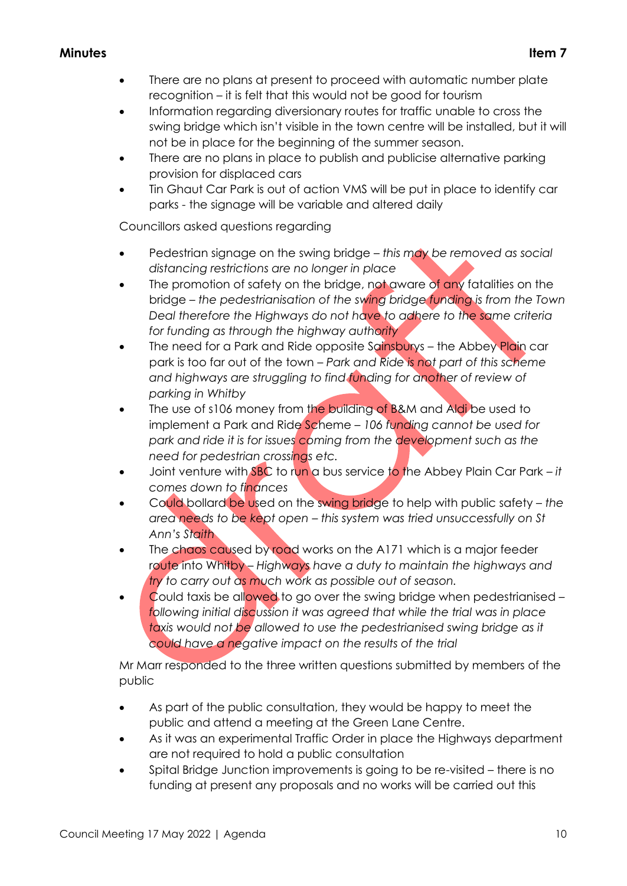- There are no plans at present to proceed with automatic number plate recognition – it is felt that this would not be good for tourism
- Information regarding diversionary routes for traffic unable to cross the swing bridge which isn't visible in the town centre will be installed, but it will not be in place for the beginning of the summer season.
- There are no plans in place to publish and publicise alternative parking provision for displaced cars
- Tin Ghaut Car Park is out of action VMS will be put in place to identify car parks - the signage will be variable and altered daily

Councillors asked questions regarding

- Pedestrian signage on the swing bridge *this may be removed as social distancing restrictions are no longer in place*
- The promotion of safety on the bridge, not aware of any fatalities on the bridge – *the pedestrianisation of the swing bridge funding is from the Town Deal therefore the Highways do not have to adhere to the same criteria for funding as through the highway authority*
- The need for a Park and Ride opposite Sainsburys the Abbey Plain car park is too far out of the town – *Park and Ride is not part of this scheme*  and highways are struggling to find funding for another of review of *parking in Whitby*
- The use of s106 money from the building of B&M and Aldi be used to implement a Park and Ride Scheme – *106 funding cannot be used for park and ride it is for issues coming from the development such as the need for pedestrian crossings etc.*
- Joint venture with SBC to run a bus service to the Abbey Plain Car Park *it comes down to finances*
- Could bollard be used on the swing bridge to help with public safety *the area needs to be kept open – this system was tried unsuccessfully on St Ann's Staith*
- The chaos caused by road works on the A171 which is a major feeder route into Whitby – *Highways have a duty to maintain the highways and try to carry out as much work as possible out of season.*
- Could taxis be allowed to go over the swing bridge when pedestrianised *following initial discussion it was agreed that while the trial was in place taxis would not be allowed to use the pedestrianised swing bridge as it could have a negative impact on the results of the trial*

Mr Marr responded to the three written questions submitted by members of the public

- As part of the public consultation, they would be happy to meet the public and attend a meeting at the Green Lane Centre.
- As it was an experimental Traffic Order in place the Highways department are not required to hold a public consultation
- Spital Bridge Junction improvements is going to be re-visited there is no funding at present any proposals and no works will be carried out this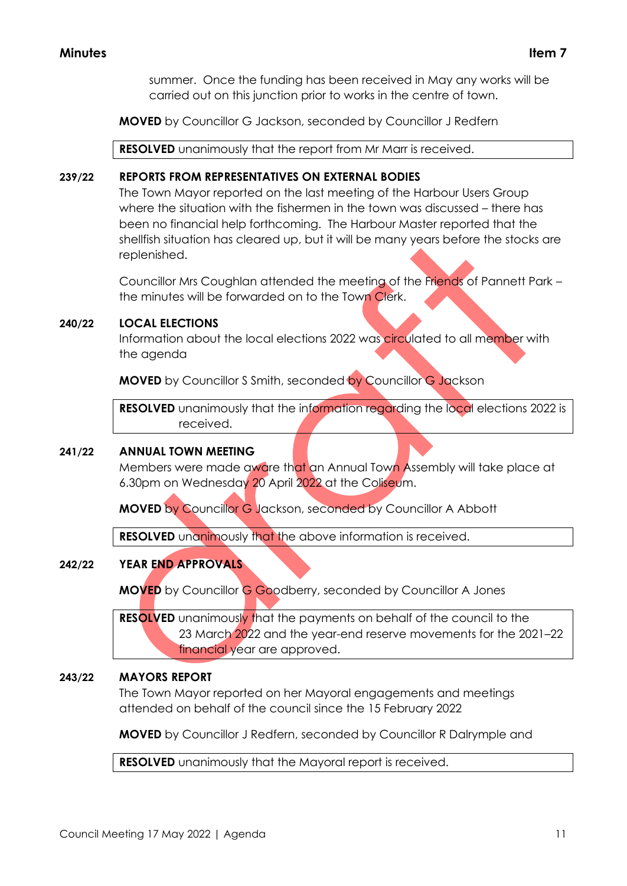summer. Once the funding has been received in May any works will be carried out on this junction prior to works in the centre of town.

**MOVED** by Councillor G Jackson, seconded by Councillor J Redfern

**RESOLVED** unanimously that the report from Mr Marr is received.

#### **239/22 REPORTS FROM REPRESENTATIVES ON EXTERNAL BODIES**

The Town Mayor reported on the last meeting of the Harbour Users Group where the situation with the fishermen in the town was discussed – there has been no financial help forthcoming. The Harbour Master reported that the shellfish situation has cleared up, but it will be many years before the stocks are replenished.

Councillor Mrs Coughlan attended the meeting of the Friends of Pannett Park – the minutes will be forwarded on to the Town Clerk.

## **240/22 LOCAL ELECTIONS**

Information about the local elections 2022 was circulated to all member with the agenda

**MOVED** by Councillor S Smith, seconded by Councillor G Jackson

**RESOLVED** unanimously that the information regarding the local elections 2022 is received.

## **241/22 ANNUAL TOWN MEETING**

Members were made aware that an Annual Town Assembly will take place at 6.30pm on Wednesday 20 April 2022 at the Coliseum.

**MOVED** by Councillor G Jackson, seconded by Councillor A Abbott

**RESOLVED** unanimously that the above information is received.

## **242/22 YEAR END APPROVALS**

**MOVED** by Councillor G Goodberry, seconded by Councillor A Jones

**RESOLVED** unanimously that the payments on behalf of the council to the 23 March 2022 and the year-end reserve movements for the 2021–22 financial year are approved.

## **243/22 MAYORS REPORT**

The Town Mayor reported on her Mayoral engagements and meetings attended on behalf of the council since the 15 February 2022

**MOVED** by Councillor J Redfern, seconded by Councillor R Dalrymple and

**RESOLVED** unanimously that the Mayoral report is received.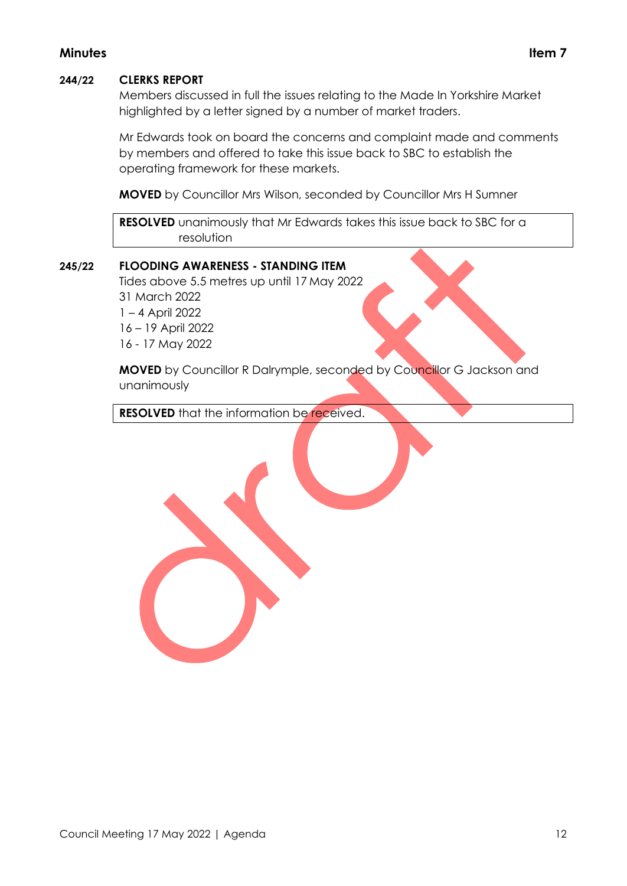#### **244/22 CLERKS REPORT**

Members discussed in full the issues relating to the Made In Yorkshire Market highlighted by a letter signed by a number of market traders.

Mr Edwards took on board the concerns and complaint made and comments by members and offered to take this issue back to SBC to establish the operating framework for these markets.

**MOVED** by Councillor Mrs Wilson, seconded by Councillor Mrs H Sumner

**RESOLVED** unanimously that Mr Edwards takes this issue back to SBC for a resolution

#### **245/22 FLOODING AWARENESS - STANDING ITEM**

Tides above 5.5 metres up until 17 May 2022

31 March 2022 1 – 4 April 2022 16 – 19 April 2022 16 - 17 May 2022

**MOVED** by Councillor R Dalrymple, seconded by Councillor G Jackson and unanimously

**RESOLVED** that the information be received.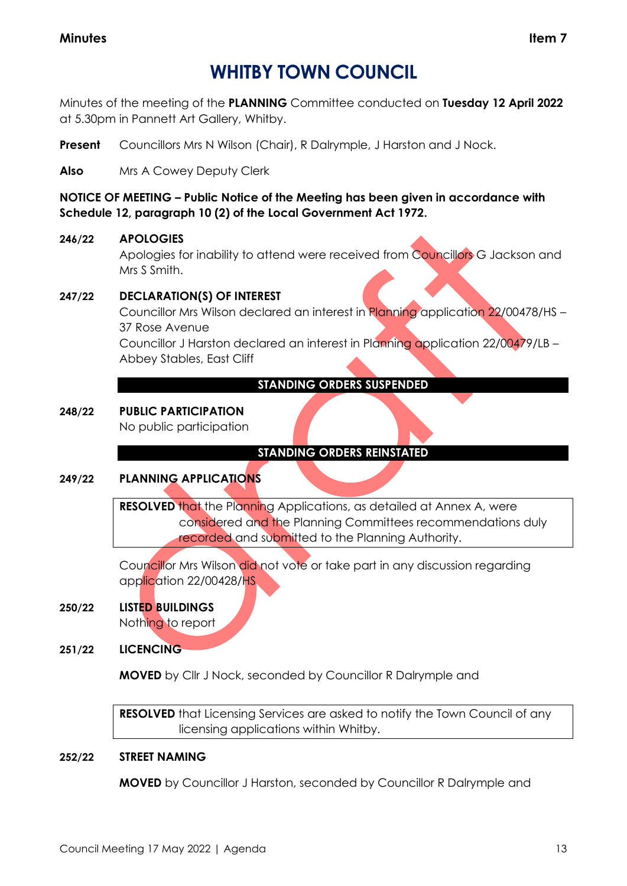## **WHITBY TOWN COUNCIL**

Minutes of the meeting of the **PLANNING** Committee conducted on **Tuesday 12 April 2022** at 5.30pm in Pannett Art Gallery, Whitby.

**Present** Councillors Mrs N Wilson (Chair), R Dalrymple, J Harston and J Nock.

**Also** Mrs A Cowey Deputy Clerk

**NOTICE OF MEETING – Public Notice of the Meeting has been given in accordance with Schedule 12, paragraph 10 (2) of the Local Government Act 1972.**

## **246/22 APOLOGIES**

Apologies for inability to attend were received from Councillors G Jackson and Mrs S Smith.

## **247/22 DECLARATION(S) OF INTEREST**

Councillor Mrs Wilson declared an interest in Planning application 22/00478/HS – 37 Rose Avenue

Councillor J Harston declared an interest in Planning application 22/00479/LB – Abbey Stables, East Cliff

## **STANDING ORDERS SUSPENDED**

## **248/22 PUBLIC PARTICIPATION**

No public participation

## **STANDING ORDERS REINSTATED**

## **249/22 PLANNING APPLICATIONS**

**RESOLVED** that the Planning Applications, as detailed at Annex A, were considered and the Planning Committees recommendations duly recorded and submitted to the Planning Authority.

Councillor Mrs Wilson did not vote or take part in any discussion regarding application 22/00428/HS

## **250/22 LISTED BUILDINGS**

Nothing to report

**251/22 LICENCING**

**MOVED** by Cllr J Nock, seconded by Councillor R Dalrymple and

**RESOLVED** that Licensing Services are asked to notify the Town Council of any licensing applications within Whitby.

## **252/22 STREET NAMING**

**MOVED** by Councillor J Harston, seconded by Councillor R Dalrymple and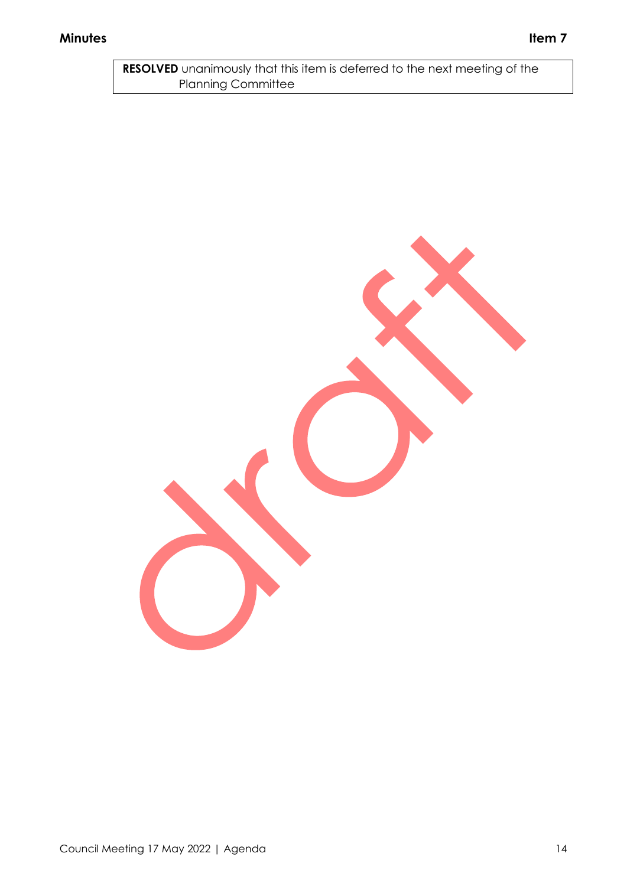**RESOLVED** unanimously that this item is deferred to the next meeting of the Planning Committee

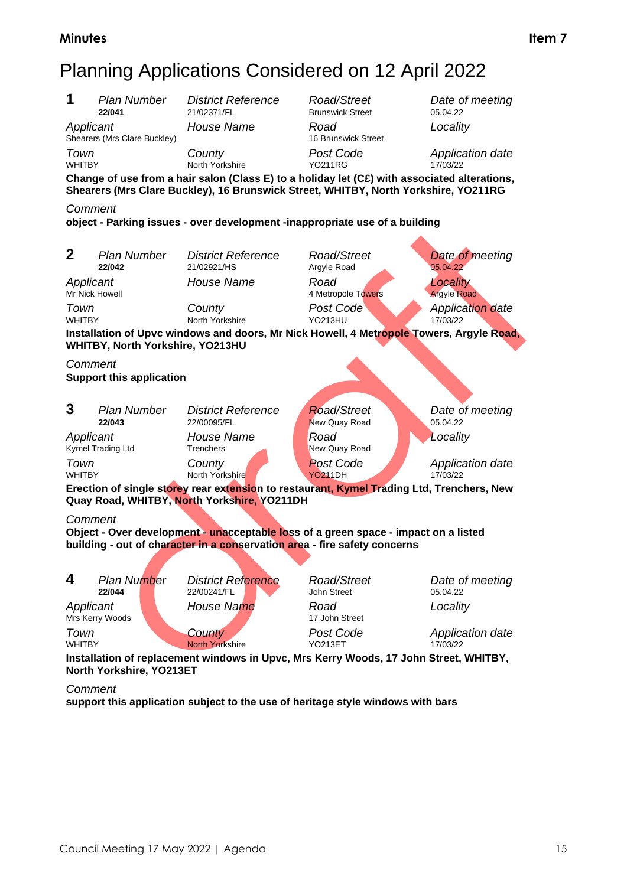# Planning Applications Considered on 12 April 2022

**1** *Plan Number District Reference Road/Street Date of meeting* **Brunswick Street** *Applicant House Name Road Locality* Shearers (Mrs Clare Buckley) *Town County Post Code Application date* North Yorkshire **Change of use from a hair salon (Class E) to a holiday let (C£) with associated alterations, Shearers (Mrs Clare Buckley), 16 Brunswick Street, WHITBY, North Yorkshire, YO211RG** *Comment* **object - Parking issues - over development -inappropriate use of a building 2** *Plan Number District Reference Road/Street Date of meeting* **Argyle Road Applicant House Name Road Road Locality**<br> **Mr Nick Howell Argyle Road Argyle Road** *Argyle Road* 4 Metropole Towers **Town County Post Code** *Application date Merity Noth Yorkshire YO213HU 17/03/22* North Yorkshire **Installation of Upvc windows and doors, Mr Nick Howell, 4 Metropole Towers, Argyle Road, WHITBY, North Yorkshire, YO213HU** *Comment* **Support this application 3** *Plan Number District Reference Road/Street Date of meeting* **New Quay Road** *Applicant House Name Road Locality* Kymel Trading Ltd *Town County Post Code Application date* WHITBY North Yorkshire YO211DH 17/03/22 **Erection of single storey rear extension to restaurant, Kymel Trading Ltd, Trenchers, New Quay Road, WHITBY, North Yorkshire, YO211DH** *Comment* **Object - Over development - unacceptable loss of a green space - impact on a listed building - out of character in a conservation area - fire safety concerns 4** *Plan Number District Reference Road/Street Date of meeting* 22/00241/FL *Applicant House Name Road Locality* Mrs Kerry Woods **Town**<br> **County Post Code Application date**<br> **Post Code** *Post Code Application date*<br> **PO213ET 17/03/22 North Yorkshire Installation of replacement windows in Upvc, Mrs Kerry Woods, 17 John Street, WHITBY, North Yorkshire, YO213ET**

#### *Comment*

**support this application subject to the use of heritage style windows with bars**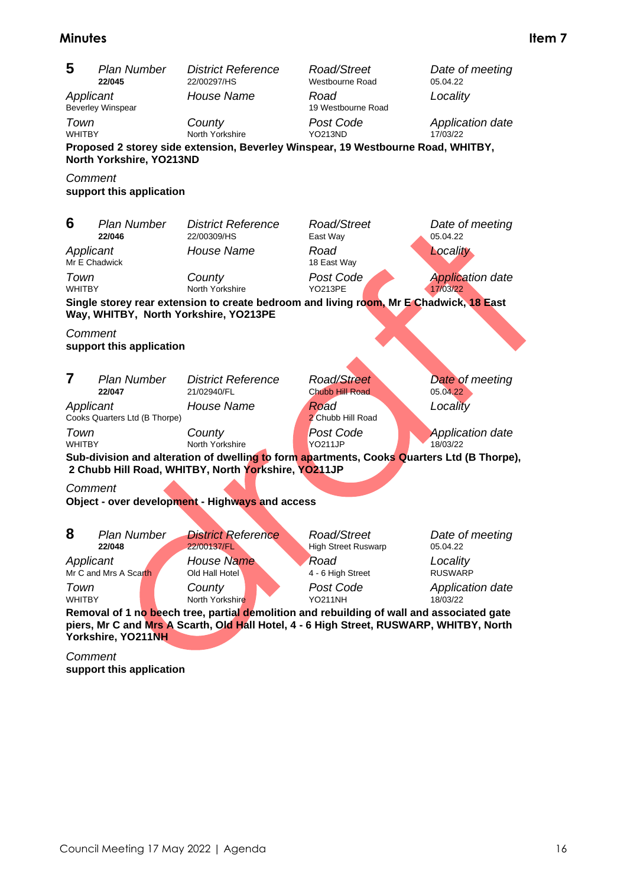| 5                                                                                                                                                                                                          | <b>Plan Number</b><br>22/045  | <b>District Reference</b><br>22/00297/HS                                                                                                          | Road/Street<br>Westbourne Road            | Date of meeting<br>05.04.22         |  |
|------------------------------------------------------------------------------------------------------------------------------------------------------------------------------------------------------------|-------------------------------|---------------------------------------------------------------------------------------------------------------------------------------------------|-------------------------------------------|-------------------------------------|--|
| Applicant                                                                                                                                                                                                  | <b>Beverley Winspear</b>      | House Name                                                                                                                                        | Road<br>19 Westbourne Road                | Locality                            |  |
| Town<br><b>WHITBY</b>                                                                                                                                                                                      |                               | County<br>North Yorkshire                                                                                                                         | Post Code<br><b>YO213ND</b>               | Application date<br>17/03/22        |  |
|                                                                                                                                                                                                            | North Yorkshire, YO213ND      | Proposed 2 storey side extension, Beverley Winspear, 19 Westbourne Road, WHITBY,                                                                  |                                           |                                     |  |
| Comment                                                                                                                                                                                                    | support this application      |                                                                                                                                                   |                                           |                                     |  |
| 6                                                                                                                                                                                                          | <b>Plan Number</b><br>22/046  | <b>District Reference</b><br>22/00309/HS                                                                                                          | Road/Street<br>East Way                   | Date of meeting<br>05.04.22         |  |
| Applicant<br>Mr E Chadwick                                                                                                                                                                                 |                               | House Name                                                                                                                                        | Road<br>18 East Way                       | Locality                            |  |
| Town<br><b>WHITBY</b>                                                                                                                                                                                      |                               | County<br>North Yorkshire                                                                                                                         | Post Code<br><b>YO213PE</b>               | <b>Application date</b><br>17/03/22 |  |
|                                                                                                                                                                                                            |                               | Single storey rear extension to create bedroom and living room, Mr E Chadwick, 18 East<br>Way, WHITBY, North Yorkshire, YO213PE                   |                                           |                                     |  |
| Comment                                                                                                                                                                                                    | support this application      |                                                                                                                                                   |                                           |                                     |  |
|                                                                                                                                                                                                            |                               |                                                                                                                                                   |                                           |                                     |  |
| 7                                                                                                                                                                                                          | <b>Plan Number</b><br>22/047  | <b>District Reference</b><br>21/02940/FL                                                                                                          | <b>Road/Street</b><br>Chubb Hill Road     | Date of meeting<br>05.04.22         |  |
| Applicant                                                                                                                                                                                                  | Cooks Quarters Ltd (B Thorpe) | House Name                                                                                                                                        | Road<br>2 Chubb Hill Road                 | Locality                            |  |
| Town<br><b>WHITBY</b>                                                                                                                                                                                      |                               | County<br>North Yorkshire                                                                                                                         | <b>Post Code</b><br>YO <sub>211</sub> JP  | <b>Application date</b><br>18/03/22 |  |
|                                                                                                                                                                                                            |                               | Sub-division and alteration of dwelling to form apartments, Cooks Quarters Ltd (B Thorpe),<br>2 Chubb Hill Road, WHITBY, North Yorkshire, YO211JP |                                           |                                     |  |
| Comment                                                                                                                                                                                                    |                               |                                                                                                                                                   |                                           |                                     |  |
| Object - over development - Highways and access                                                                                                                                                            |                               |                                                                                                                                                   |                                           |                                     |  |
| 8                                                                                                                                                                                                          | <b>Plan Number</b><br>22/048  | <b>District Reference</b><br>22/00137/FL                                                                                                          | Road/Street<br><b>High Street Ruswarp</b> | Date of meeting<br>05.04.22         |  |
| Applicant                                                                                                                                                                                                  | Mr C and Mrs A Scarth         | House Name<br>Old Hall Hotel                                                                                                                      | Road<br>4 - 6 High Street                 | Locality<br><b>RUSWARP</b>          |  |
| Town<br><b>WHITBY</b>                                                                                                                                                                                      |                               | County<br>North Yorkshire                                                                                                                         | Post Code<br><b>YO211NH</b>               | <b>Application date</b><br>18/03/22 |  |
| Removal of 1 no beech tree, partial demolition and rebuilding of wall and associated gate<br>piers, Mr C and Mrs A Scarth, Old Hall Hotel, 4 - 6 High Street, RUSWARP, WHITBY, North<br>Yorkshire, YO211NH |                               |                                                                                                                                                   |                                           |                                     |  |

*Comment* **support this application**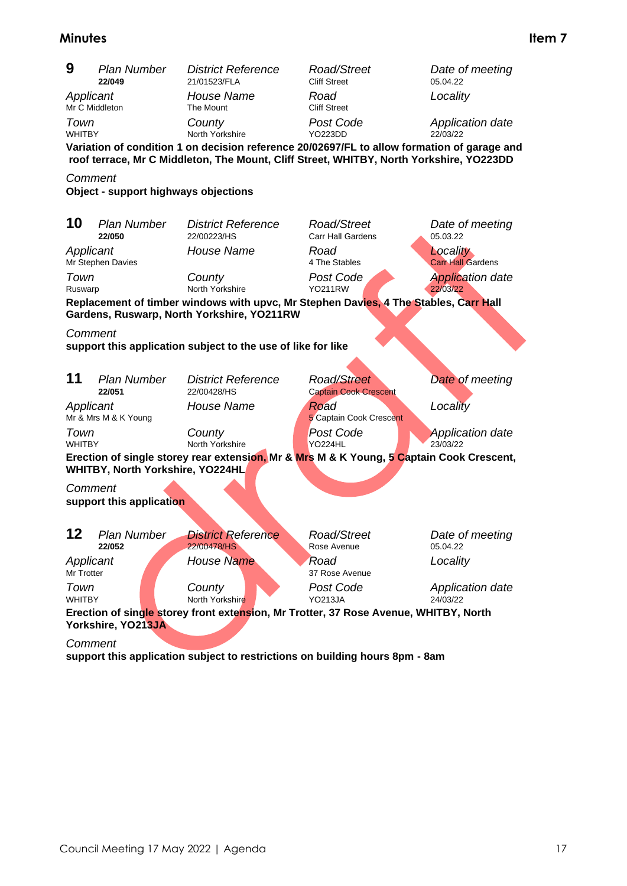| 9                           | <b>Plan Number</b><br>22/049         | <b>District Reference</b><br>21/01523/FLA                    | Road/Street<br><b>Cliff Street</b>                                                                                         | Date of meeting<br>05.04.22          |
|-----------------------------|--------------------------------------|--------------------------------------------------------------|----------------------------------------------------------------------------------------------------------------------------|--------------------------------------|
| Applicant<br>Mr C Middleton |                                      | House Name<br>The Mount                                      | Road<br><b>Cliff Street</b>                                                                                                | Locality                             |
| Town<br><b>WHITBY</b>       |                                      | County<br>North Yorkshire                                    | Post Code<br><b>YO223DD</b><br>Variation of condition 1 on decision reference 20/02697/FL to allow formation of garage and | <b>Application date</b><br>22/03/22  |
|                             |                                      |                                                              | roof terrace, Mr C Middleton, The Mount, Cliff Street, WHITBY, North Yorkshire, YO223DD                                    |                                      |
| Comment                     | Object - support highways objections |                                                              |                                                                                                                            |                                      |
|                             |                                      |                                                              |                                                                                                                            |                                      |
| 10                          | <b>Plan Number</b><br>22/050         | <b>District Reference</b><br>22/00223/HS                     | Road/Street<br><b>Carr Hall Gardens</b>                                                                                    | Date of meeting<br>05.03.22          |
| Applicant                   | Mr Stephen Davies                    | House Name                                                   | Road<br>4 The Stables                                                                                                      | Locality<br><b>Carr Hall Gardens</b> |
| Town<br>Ruswarp             |                                      | County<br>North Yorkshire                                    | Post Code<br><b>YO211RW</b>                                                                                                | <b>Application date</b><br>22/03/22  |
|                             |                                      | Gardens, Ruswarp, North Yorkshire, YO211RW                   | Replacement of timber windows with upvc, Mr Stephen Davies, 4 The Stables, Carr Hall                                       |                                      |
| Comment                     |                                      |                                                              |                                                                                                                            |                                      |
|                             |                                      | support this application subject to the use of like for like |                                                                                                                            |                                      |
|                             |                                      |                                                              |                                                                                                                            |                                      |
| 11                          | <b>Plan Number</b><br>22/051         | <b>District Reference</b><br>22/00428/HS                     | <b>Road/Street</b><br><b>Captain Cook Crescent</b>                                                                         | Date of meeting                      |
| Applicant                   | Mr & Mrs M & K Young                 | House Name                                                   | Road<br>5 Captain Cook Crescent                                                                                            | Locality                             |
| Town<br><b>WHITBY</b>       |                                      | County<br>North Yorkshire                                    | <b>Post Code</b><br>YO224HL                                                                                                | <b>Application date</b><br>23/03/22  |
|                             | WHITBY, North Yorkshire, YO224HL     |                                                              | Erection of single storey rear extension, Mr & Mrs M & K Young, 5 Captain Cook Crescent,                                   |                                      |
|                             |                                      |                                                              |                                                                                                                            |                                      |
| Comment                     | support this application             |                                                              |                                                                                                                            |                                      |
|                             |                                      |                                                              |                                                                                                                            |                                      |
| 12                          | <b>Plan Number</b><br>22/052         | <b>District Reference</b><br>22/00478/HS                     | Road/Street<br>Rose Avenue                                                                                                 | Date of meeting<br>05.04.22          |
| Applicant<br>Mr Trotter     |                                      | House Name                                                   | 'Road<br>37 Rose Avenue                                                                                                    | Locality                             |
| Town<br><b>WHITBY</b>       |                                      | County<br>North Yorkshire                                    | Post Code<br><b>YO213JA</b>                                                                                                | <b>Application date</b><br>24/03/22  |
|                             | Yorkshire, YO213JA                   |                                                              | Erection of single storey front extension, Mr Trotter, 37 Rose Avenue, WHITBY, North                                       |                                      |
| Comment                     |                                      |                                                              |                                                                                                                            |                                      |

**support this application subject to restrictions on building hours 8pm - 8am**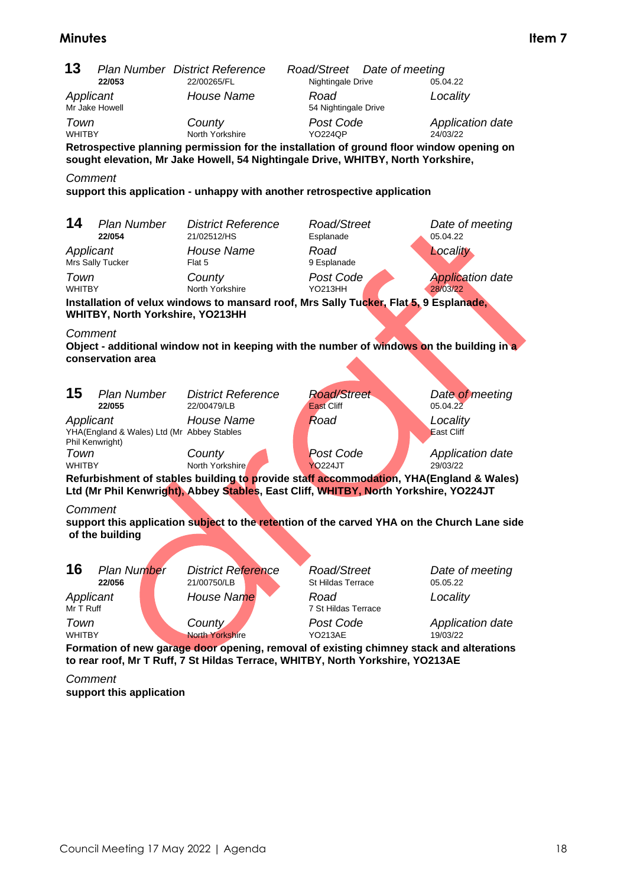| 13                                                                                                                                                                                         |                                                               |                                                      |                                                                                                                                                                              |                                                                                             |
|--------------------------------------------------------------------------------------------------------------------------------------------------------------------------------------------|---------------------------------------------------------------|------------------------------------------------------|------------------------------------------------------------------------------------------------------------------------------------------------------------------------------|---------------------------------------------------------------------------------------------|
|                                                                                                                                                                                            | 22/053                                                        | <b>Plan Number District Reference</b><br>22/00265/FL | Road/Street<br>Date of meeting<br>Nightingale Drive                                                                                                                          | 05.04.22                                                                                    |
| Applicant                                                                                                                                                                                  | Mr Jake Howell                                                | House Name                                           | Road<br>54 Nightingale Drive                                                                                                                                                 | Locality                                                                                    |
| Town<br><b>WHITBY</b>                                                                                                                                                                      |                                                               | County<br>North Yorkshire                            | Post Code<br><b>YO224QP</b>                                                                                                                                                  | <b>Application date</b><br>24/03/22                                                         |
|                                                                                                                                                                                            |                                                               |                                                      | Retrospective planning permission for the installation of ground floor window opening on<br>sought elevation, Mr Jake Howell, 54 Nightingale Drive, WHITBY, North Yorkshire, |                                                                                             |
| Comment                                                                                                                                                                                    |                                                               |                                                      | support this application - unhappy with another retrospective application                                                                                                    |                                                                                             |
| 14                                                                                                                                                                                         | <b>Plan Number</b><br>22/054                                  | <b>District Reference</b><br>21/02512/HS             | Road/Street<br>Esplanade                                                                                                                                                     | Date of meeting<br>05.04.22                                                                 |
| Applicant                                                                                                                                                                                  | Mrs Sally Tucker                                              | House Name<br>Flat 5                                 | Road<br>9 Esplanade                                                                                                                                                          | Locality                                                                                    |
| Town<br><b>WHITBY</b>                                                                                                                                                                      |                                                               | County<br>North Yorkshire                            | Post Code<br><b>YO213HH</b>                                                                                                                                                  | <b>Application date</b><br>28/03/22                                                         |
|                                                                                                                                                                                            | WHITBY, North Yorkshire, YO213HH                              |                                                      | Installation of velux windows to mansard roof, Mrs Sally Tucker, Flat 5, 9 Esplanade,                                                                                        |                                                                                             |
| Comment                                                                                                                                                                                    |                                                               |                                                      |                                                                                                                                                                              |                                                                                             |
|                                                                                                                                                                                            | conservation area                                             |                                                      | Object - additional window not in keeping with the number of windows on the building in a                                                                                    |                                                                                             |
|                                                                                                                                                                                            |                                                               |                                                      |                                                                                                                                                                              |                                                                                             |
| 15                                                                                                                                                                                         | <b>Plan Number</b><br>22/055                                  | <b>District Reference</b><br>22/00479/LB             | <b>Road/Street</b><br><b>East Cliff</b>                                                                                                                                      | Date of meeting<br>05.04.22                                                                 |
| Applicant                                                                                                                                                                                  | YHA(England & Wales) Ltd (Mr Abbey Stables<br>Phil Kenwright) | House Name                                           | Road                                                                                                                                                                         | Locality<br>East Cliff                                                                      |
| Town<br><b>WHITBY</b>                                                                                                                                                                      |                                                               | County<br>North Yorkshire                            | <b>Post Code</b><br><b>YO224JT</b>                                                                                                                                           | Application date<br>29/03/22                                                                |
|                                                                                                                                                                                            |                                                               |                                                      | Refurbishment of stables building to provide staff accommodation, YHA(England & Wales)                                                                                       |                                                                                             |
| Comment                                                                                                                                                                                    |                                                               |                                                      | Ltd (Mr Phil Kenwright), Abbey Stables, East Cliff, WHITBY, North Yorkshire, YO224JT                                                                                         |                                                                                             |
|                                                                                                                                                                                            | of the building                                               |                                                      |                                                                                                                                                                              | support this application subject to the retention of the carved YHA on the Church Lane side |
|                                                                                                                                                                                            |                                                               |                                                      |                                                                                                                                                                              |                                                                                             |
| 16                                                                                                                                                                                         | <b>Plan Number</b><br>22/056                                  | <b>District Reference</b><br>21/00750/LB             | Road/Street<br><b>St Hildas Terrace</b>                                                                                                                                      | Date of meeting<br>05.05.22                                                                 |
| Applicant<br>Mr T Ruff                                                                                                                                                                     |                                                               | House Name                                           | Road<br>7 St Hildas Terrace                                                                                                                                                  | Locality                                                                                    |
| Town                                                                                                                                                                                       |                                                               | County<br><b>North Yorkshire</b>                     | Post Code<br><b>YO213AE</b>                                                                                                                                                  | Application date<br>19/03/22                                                                |
| <b>WHITBY</b><br>Formation of new garage door opening, removal of existing chimney stack and alterations<br>to rear roof, Mr T Ruff, 7 St Hildas Terrace, WHITBY, North Yorkshire, YO213AE |                                                               |                                                      |                                                                                                                                                                              |                                                                                             |
| Comment                                                                                                                                                                                    |                                                               |                                                      |                                                                                                                                                                              |                                                                                             |
|                                                                                                                                                                                            | support this application                                      |                                                      |                                                                                                                                                                              |                                                                                             |
|                                                                                                                                                                                            |                                                               |                                                      |                                                                                                                                                                              |                                                                                             |
|                                                                                                                                                                                            |                                                               |                                                      |                                                                                                                                                                              |                                                                                             |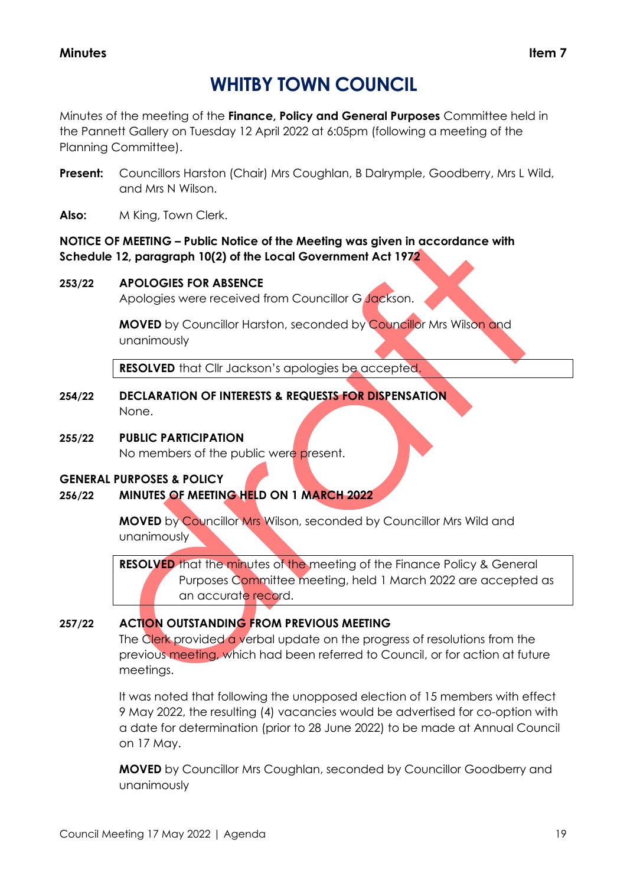## **WHITBY TOWN COUNCIL**

Minutes of the meeting of the **Finance, Policy and General Purposes** Committee held in the Pannett Gallery on Tuesday 12 April 2022 at 6:05pm (following a meeting of the Planning Committee).

- **Present:** Councillors Harston (Chair) Mrs Coughlan, B Dalrymple, Goodberry, Mrs L Wild, and Mrs N Wilson.
- **Also:** M King, Town Clerk.

## **NOTICE OF MEETING – Public Notice of the Meeting was given in accordance with Schedule 12, paragraph 10(2) of the Local Government Act 1972**

## **253/22 APOLOGIES FOR ABSENCE**

Apologies were received from Councillor G Jackson.

**MOVED** by Councillor Harston, seconded by Councillor Mrs Wilson and unanimously

**RESOLVED** that Cllr Jackson's apologies be accepted.

**254/22 DECLARATION OF INTERESTS & REQUESTS FOR DISPENSATION** None.

## **255/22 PUBLIC PARTICIPATION**

No members of the public were present.

## **GENERAL PURPOSES & POLICY**

## **256/22 MINUTES OF MEETING HELD ON 1 MARCH 2022**

**MOVED** by Councillor Mrs Wilson, seconded by Councillor Mrs Wild and unanimously

**RESOLVED** that the minutes of the meeting of the Finance Policy & General Purposes Committee meeting, held 1 March 2022 are accepted as an accurate record.

## **257/22 ACTION OUTSTANDING FROM PREVIOUS MEETING**

The Clerk provided a verbal update on the progress of resolutions from the previous meeting, which had been referred to Council, or for action at future meetings.

It was noted that following the unopposed election of 15 members with effect 9 May 2022, the resulting (4) vacancies would be advertised for co-option with a date for determination (prior to 28 June 2022) to be made at Annual Council on 17 May.

**MOVED** by Councillor Mrs Coughlan, seconded by Councillor Goodberry and unanimously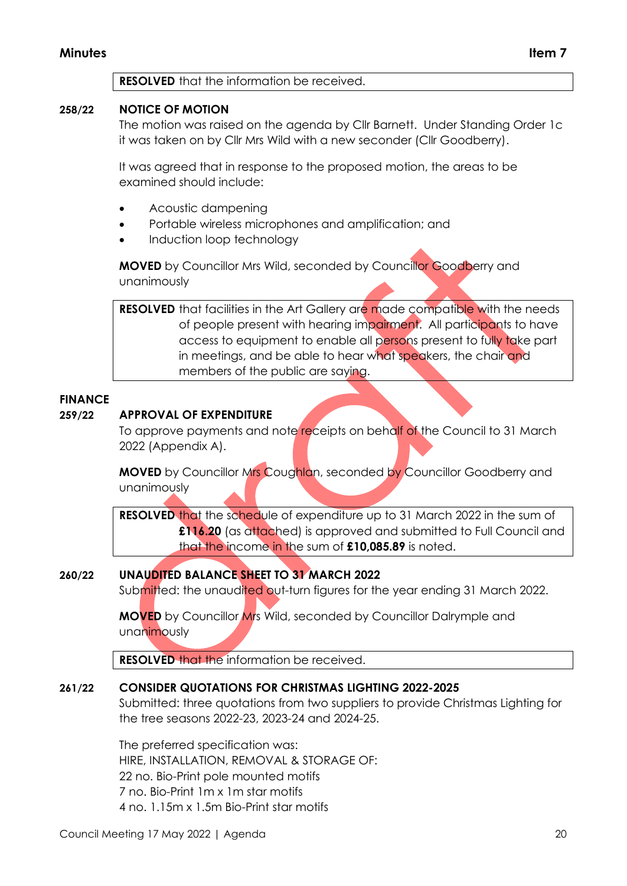#### **RESOLVED** that the information be received.

## **258/22 NOTICE OF MOTION**

The motion was raised on the agenda by Cllr Barnett. Under Standing Order 1c it was taken on by Cllr Mrs Wild with a new seconder (Cllr Goodberry).

It was agreed that in response to the proposed motion, the areas to be examined should include:

- Acoustic dampening
- Portable wireless microphones and amplification; and
- Induction loop technology

**MOVED** by Councillor Mrs Wild, seconded by Councillor Goodberry and unanimously

**RESOLVED** that facilities in the Art Gallery are made compatible with the needs of people present with hearing impairment. All participants to have access to equipment to enable all persons present to fully take part in meetings, and be able to hear what speakers, the chair and members of the public are saying.

#### **FINANCE**

#### **259/22 APPROVAL OF EXPENDITURE**

To approve payments and note receipts on behalf of the Council to 31 March 2022 (Appendix A).

**MOVED** by Councillor Mrs Coughlan, seconded by Councillor Goodberry and unanimously

**RESOLVED** that the schedule of expenditure up to 31 March 2022 in the sum of **£116.20** (as attached) is approved and submitted to Full Council and that the income in the sum of **£10,085.89** is noted.

## **260/22 UNAUDITED BALANCE SHEET TO 31 MARCH 2022**

Submitted: the unaudited out-turn figures for the year ending 31 March 2022.

**MOVED** by Councillor Mrs Wild, seconded by Councillor Dalrymple and unanimously

**RESOLVED** that the information be received.

#### **261/22 CONSIDER QUOTATIONS FOR CHRISTMAS LIGHTING 2022-2025**

Submitted: three quotations from two suppliers to provide Christmas Lighting for the tree seasons 2022-23, 2023-24 and 2024-25.

The preferred specification was: HIRE, INSTALLATION, REMOVAL & STORAGE OF: 22 no. Bio-Print pole mounted motifs 7 no. Bio-Print 1m x 1m star motifs 4 no. 1.15m x 1.5m Bio-Print star motifs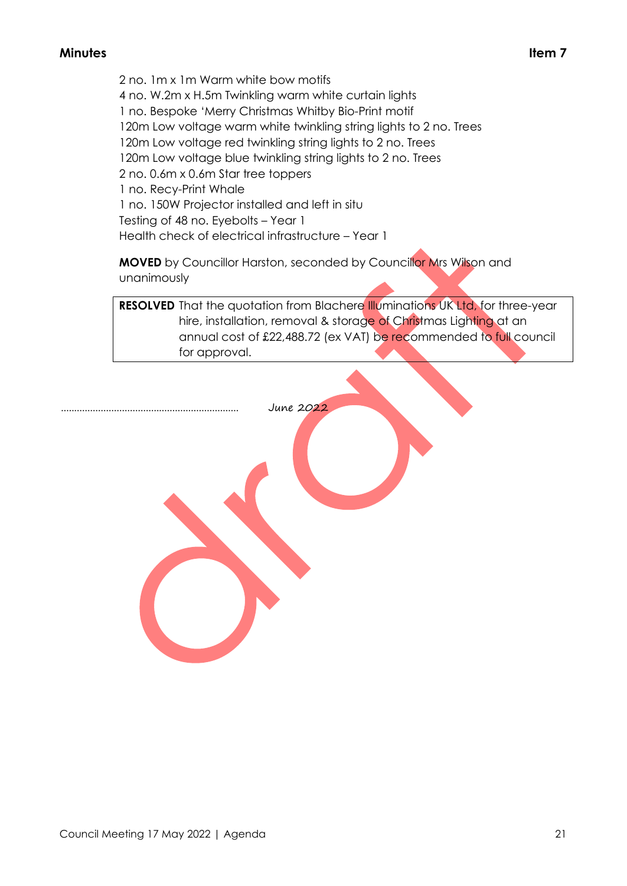2 no. 1m x 1m Warm white bow motifs 4 no. W.2m x H.5m Twinkling warm white curtain lights 1 no. Bespoke 'Merry Christmas Whitby Bio-Print motif 120m Low voltage warm white twinkling string lights to 2 no. Trees 120m Low voltage red twinkling string lights to 2 no. Trees 120m Low voltage blue twinkling string lights to 2 no. Trees 2 no. 0.6m x 0.6m Star tree toppers 1 no. Recy-Print Whale 1 no. 150W Projector installed and left in situ Testing of 48 no. Eyebolts – Year 1 Health check of electrical infrastructure – Year 1

**MOVED** by Councillor Harston, seconded by Councillor Mrs Wilson and unanimously

June 2022

**RESOLVED** That the quotation from Blachere Illuminations UK Ltd, for three-year hire, installation, removal & storage of Christmas Lighting at an annual cost of £22,488.72 (ex VAT) be recommended to full council for approval.

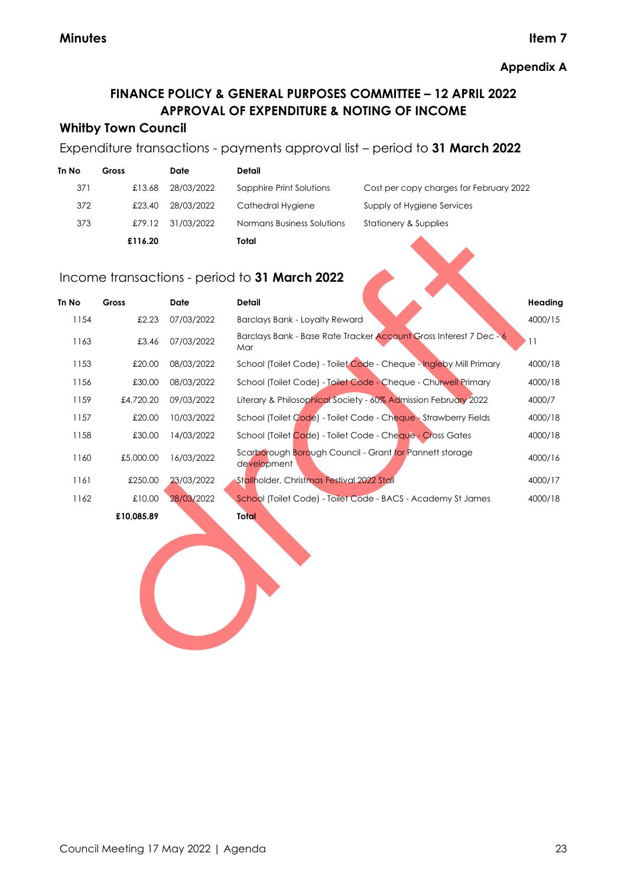## **FINANCE POLICY & GENERAL PURPOSES COMMITTEE – 12 APRIL 2022 APPROVAL OF EXPENDITURE & NOTING OF INCOME**

## **Whitby Town Council**

## Expenditure transactions - payments approval list – period to **31 March 2022**

| Tn No | Gross   | Date       | Detail                     |                                         |
|-------|---------|------------|----------------------------|-----------------------------------------|
| 371   | £13.68  | 28/03/2022 | Sapphire Print Solutions   | Cost per copy charges for February 2022 |
| 372   | £23.40  | 28/03/2022 | Cathedral Hygiene          | Supply of Hygiene Services              |
| 373   | £79.12  | 31/03/2022 | Normans Business Solutions | Stationery & Supplies                   |
|       | £116.20 |            | Total                      |                                         |

## Income transactions - period to **31 March 2022**

| Tn No | Gross      | <b>Date</b> | <b>Detail</b>                                                             | Heading |
|-------|------------|-------------|---------------------------------------------------------------------------|---------|
| 1154  | £2.23      | 07/03/2022  | Barclays Bank - Loyalty Reward                                            | 4000/15 |
| 1163  | £3.46      | 07/03/2022  | Barclays Bank - Base Rate Tracker Account Gross Interest 7 Dec - 6<br>Mar | 11      |
| 1153  | £20.00     | 08/03/2022  | School (Toilet Code) - Toilet Code - Cheque - Ingleby Mill Primary        | 4000/18 |
| 1156  | £30.00     | 08/03/2022  | School (Toilet Code) - Toilet Code - Cheque - Churwell Primary            | 4000/18 |
| 1159  | £4,720.20  | 09/03/2022  | Literary & Philosophical Society - 60% Admission February 2022            | 4000/7  |
| 1157  | £20.00     | 10/03/2022  | School (Toilet Code) - Toilet Code - Cheque - Strawberry Fields           | 4000/18 |
| 1158  | £30.00     | 14/03/2022  | School (Toilet Code) - Toilet Code - Cheque - Cross Gates                 | 4000/18 |
| 1160  | £5,000.00  | 16/03/2022  | Scarborough Borough Council - Grant for Pannett storage<br>development    | 4000/16 |
| 1161  | £250.00    | 23/03/2022  | Stallholder, Christmas Festival 2022 Stall                                | 4000/17 |
| 1162  | £10.00     | 28/03/2022  | School (Toilet Code) - Toilet Code - BACS - Academy St James              | 4000/18 |
|       | £10,085.89 |             | Total                                                                     |         |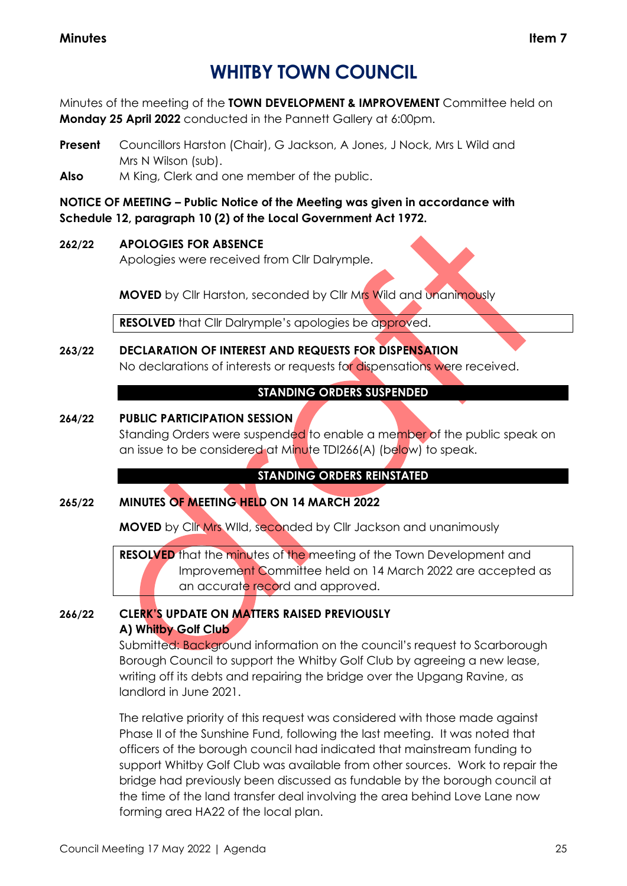## **WHITBY TOWN COUNCIL**

Minutes of the meeting of the **TOWN DEVELOPMENT & IMPROVEMENT** Committee held on **Monday 25 April 2022** conducted in the Pannett Gallery at 6:00pm.

- **Present** Councillors Harston (Chair), G Jackson, A Jones, J Nock, Mrs L Wild and Mrs N Wilson (sub).
- **Also** M King, Clerk and one member of the public.

**NOTICE OF MEETING – Public Notice of the Meeting was given in accordance with Schedule 12, paragraph 10 (2) of the Local Government Act 1972.**

## **262/22 APOLOGIES FOR ABSENCE**

Apologies were received from Cllr Dalrymple.

**MOVED** by Cllr Harston, seconded by Cllr Mrs Wild and unanimously

**RESOLVED** that Cllr Dalrymple's apologies be approved.

## **263/22 DECLARATION OF INTEREST AND REQUESTS FOR DISPENSATION** No declarations of interests or requests for dispensations were received.

## **STANDING ORDERS SUSPENDED**

## **264/22 PUBLIC PARTICIPATION SESSION**

Standing Orders were suspended to enable a member of the public speak on an issue to be considered at Minute TDI266(A) (below) to speak.

## **STANDING ORDERS REINSTATED**

## **265/22 MINUTES OF MEETING HELD ON 14 MARCH 2022**

**MOVED** by Cllr Mrs WIld, seconded by Cllr Jackson and unanimously

**RESOLVED** that the minutes of the meeting of the Town Development and Improvement Committee held on 14 March 2022 are accepted as an accurate record and approved.

## **266/22 CLERK'S UPDATE ON MATTERS RAISED PREVIOUSLY A) Whitby Golf Club**

Submitted: Background information on the council's request to Scarborough Borough Council to support the Whitby Golf Club by agreeing a new lease, writing off its debts and repairing the bridge over the Upgang Ravine, as landlord in June 2021.

The relative priority of this request was considered with those made against Phase II of the Sunshine Fund, following the last meeting. It was noted that officers of the borough council had indicated that mainstream funding to support Whitby Golf Club was available from other sources. Work to repair the bridge had previously been discussed as fundable by the borough council at the time of the land transfer deal involving the area behind Love Lane now forming area HA22 of the local plan.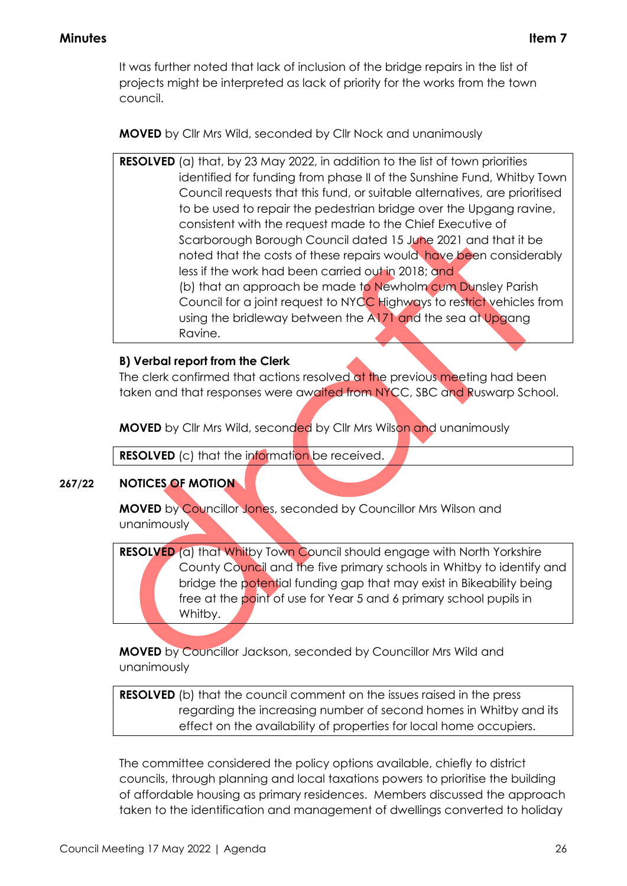It was further noted that lack of inclusion of the bridge repairs in the list of projects might be interpreted as lack of priority for the works from the town council.

**MOVED** by Cllr Mrs Wild, seconded by Cllr Nock and unanimously

**RESOLVED** (a) that, by 23 May 2022, in addition to the list of town priorities identified for funding from phase II of the Sunshine Fund, Whitby Town Council requests that this fund, or suitable alternatives, are prioritised to be used to repair the pedestrian bridge over the Upgang ravine, consistent with the request made to the Chief Executive of Scarborough Borough Council dated 15 June 2021 and that it be noted that the costs of these repairs would have been considerably less if the work had been carried out in 2018; and (b) that an approach be made to Newholm cum Dunsley Parish Council for a joint request to NYCC Highways to restrict vehicles from using the bridleway between the A171 and the sea at Upgang Ravine.

## **B) Verbal report from the Clerk**

The clerk confirmed that actions resolved at the previous meeting had been taken and that responses were awaited from NYCC, SBC and Ruswarp School.

**MOVED** by Cllr Mrs Wild, seconded by Cllr Mrs Wilson and unanimously

**RESOLVED** (c) that the information be received.

## **267/22 NOTICES OF MOTION**

**MOVED** by Councillor Jones, seconded by Councillor Mrs Wilson and unanimously

**RESOLVED** (a) that Whitby Town Council should engage with North Yorkshire County Council and the five primary schools in Whitby to identify and bridge the potential funding gap that may exist in Bikeability being free at the point of use for Year 5 and 6 primary school pupils in Whitby.

**MOVED** by Councillor Jackson, seconded by Councillor Mrs Wild and unanimously

**RESOLVED** (b) that the council comment on the issues raised in the press regarding the increasing number of second homes in Whitby and its effect on the availability of properties for local home occupiers.

The committee considered the policy options available, chiefly to district councils, through planning and local taxations powers to prioritise the building of affordable housing as primary residences. Members discussed the approach taken to the identification and management of dwellings converted to holiday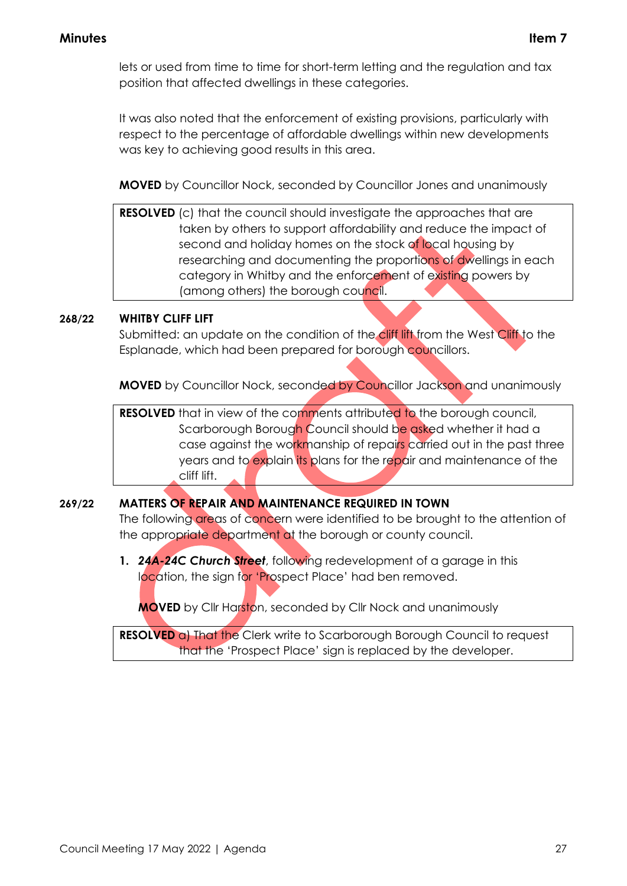lets or used from time to time for short-term letting and the regulation and tax position that affected dwellings in these categories.

It was also noted that the enforcement of existing provisions, particularly with respect to the percentage of affordable dwellings within new developments was key to achieving good results in this area.

**MOVED** by Councillor Nock, seconded by Councillor Jones and unanimously

**RESOLVED** (c) that the council should investigate the approaches that are taken by others to support affordability and reduce the impact of second and holiday homes on the stock of local housing by researching and documenting the proportions of dwellings in each category in Whitby and the enforcement of existing powers by (among others) the borough council.

## **268/22 WHITBY CLIFF LIFT**

Submitted: an update on the condition of the cliff lift from the West Cliff to the Esplanade, which had been prepared for borough councillors.

**MOVED** by Councillor Nock, seconded by Councillor Jackson and unanimously

**RESOLVED** that in view of the comments attributed to the borough council, Scarborough Borough Council should be asked whether it had a case against the workmanship of repairs carried out in the past three years and to explain its plans for the repair and maintenance of the cliff lift.

## **269/22 MATTERS OF REPAIR AND MAINTENANCE REQUIRED IN TOWN**

The following areas of concern were identified to be brought to the attention of the appropriate department at the borough or county council.

**1.** *24A-24C Church Street*, following redevelopment of a garage in this location, the sign for 'Prospect Place' had ben removed.

**MOVED** by Cllr Harston, seconded by Cllr Nock and unanimously

**RESOLVED** a) That the Clerk write to Scarborough Borough Council to request that the 'Prospect Place' sign is replaced by the developer.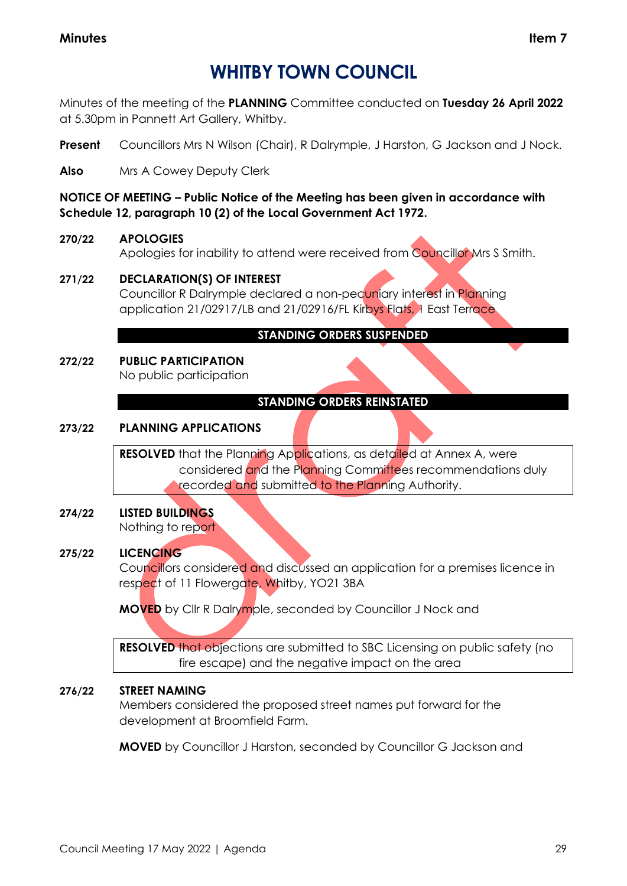## **WHITBY TOWN COUNCIL**

Minutes of the meeting of the **PLANNING** Committee conducted on **Tuesday 26 April 2022** at 5.30pm in Pannett Art Gallery, Whitby.

**Present** Councillors Mrs N Wilson (Chair), R Dalrymple, J Harston, G Jackson and J Nock.

**Also** Mrs A Cowey Deputy Clerk

**NOTICE OF MEETING – Public Notice of the Meeting has been given in accordance with Schedule 12, paragraph 10 (2) of the Local Government Act 1972.**

## **270/22 APOLOGIES**

Apologies for inability to attend were received from Councillor Mrs S Smith.

## **271/22 DECLARATION(S) OF INTEREST**

Councillor R Dalrymple declared a non-pecuniary interest in Planning application 21/02917/LB and 21/02916/FL Kirbys Flats, 1 East Terrace

## **STANDING ORDERS SUSPENDED**

#### **272/22 PUBLIC PARTICIPATION** No public participation

## **STANDING ORDERS REINSTATED**

## **273/22 PLANNING APPLICATIONS**

**RESOLVED** that the Planning Applications, as detailed at Annex A, were considered and the Planning Committees recommendations duly recorded and submitted to the Planning Authority.

## **274/22 LISTED BUILDINGS**

Nothing to report

## **275/22 LICENCING**

Councillors considered and discussed an application for a premises licence in respect of 11 Flowergate, Whitby, YO21 3BA

**MOVED** by Cllr R Dalrymple, seconded by Councillor J Nock and

**RESOLVED** that objections are submitted to SBC Licensing on public safety (no fire escape) and the negative impact on the area

## **276/22 STREET NAMING**

Members considered the proposed street names put forward for the development at Broomfield Farm.

**MOVED** by Councillor J Harston, seconded by Councillor G Jackson and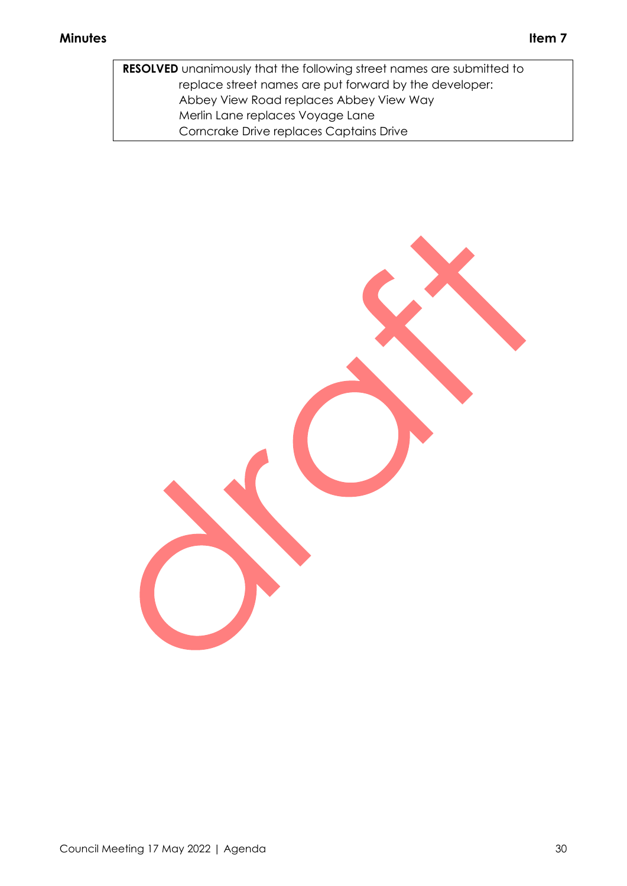**RESOLVED** unanimously that the following street names are submitted to replace street names are put forward by the developer: Abbey View Road replaces Abbey View Way Merlin Lane replaces Voyage Lane Corncrake Drive replaces Captains Drive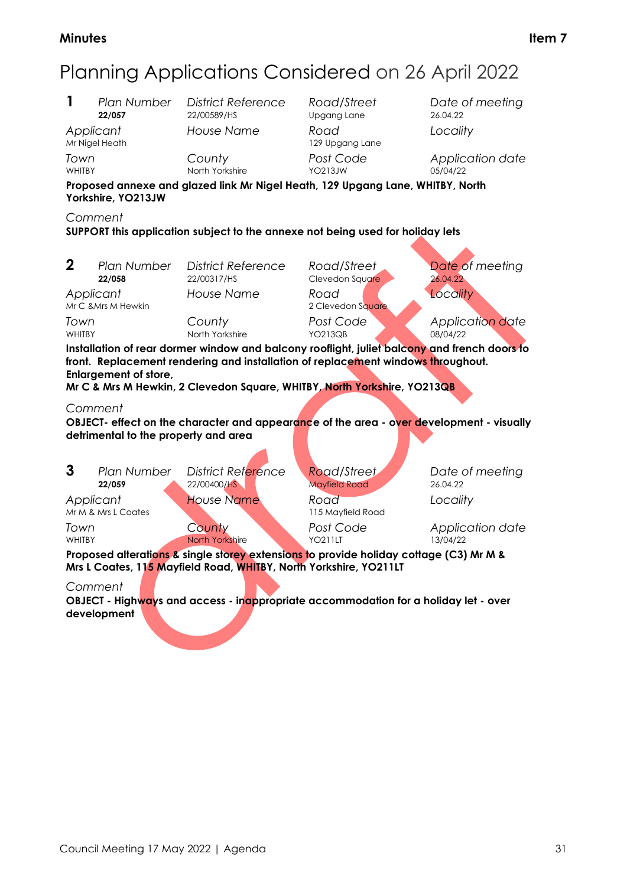# Planning Applications Considered on 26 April 2022

**1** *Plan Number District Reference Road/Street Date of meeting Applicant House Name Road Locality*

**Upgang Lane** 129 Upgang Lane WHITBY **North Yorkshire** YO213JW 05/04/22

*Town County Post Code Application date*

**Proposed annexe and glazed link Mr Nigel Heath, 129 Upgang Lane, WHITBY, North Yorkshire, YO213JW**

*Comment*

**SUPPORT this application subject to the annexe not being used for holiday lets**

**2** *Plan Number District Reference Road/Street Date of meeting Applicant House Name Road Locality* Mr C &Mrs M Hewkin 2 Clevedon Square

WHITBY North Yorkshire YO213QB 08/04/22

**22/058** 22/00317/HS Clevedon Square 26.04.22

*Town County Post Code Application date*

**Installation of rear dormer window and balcony rooflight, juliet balcony and french doors to front. Replacement rendering and installation of replacement windows throughout. Enlargement of store,** 

**Mr C & Mrs M Hewkin, 2 Clevedon Square, WHITBY, North Yorkshire, YO213QB**

#### *Comment*

**OBJECT- effect on the character and appearance of the area - over development - visually detrimental to the property and area**

| 3<br>Plan Number<br>22/059                                                                                                                                                               | <b>District Reference</b><br>22/00400/HS | Road/Street<br><b>Mayfield Road</b> | Date of meeting<br>26.04.22  |  |  |
|------------------------------------------------------------------------------------------------------------------------------------------------------------------------------------------|------------------------------------------|-------------------------------------|------------------------------|--|--|
| Applicant<br>Mr M & Mrs L Coates                                                                                                                                                         | <b>House Name</b>                        | Road<br>115 Mayfield Road           | Locality                     |  |  |
| Town<br><b>WHITBY</b>                                                                                                                                                                    | County<br>North Yorkshire                | Post Code<br><b>YO211LT</b>         | Application date<br>13/04/22 |  |  |
| Proposed alterations & single storey extensions to provide holiday cottage (C3) Mr M &<br>Mrs L Coates, 11 <mark>5 M</mark> ayfield Road, <mark>WHIT</mark> BY, North Yorkshire, YO211LT |                                          |                                     |                              |  |  |
|                                                                                                                                                                                          |                                          |                                     |                              |  |  |

*Comment* **OBJECT - Highways and access - inappropriate accommodation for a holiday let - over development**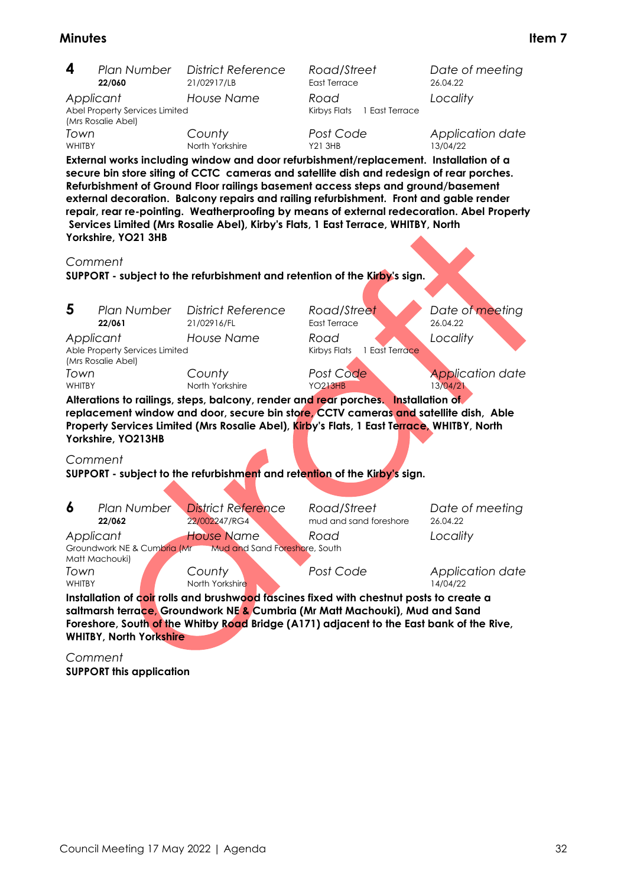| 4                                                                                                                                                                                                                                                                                                    | Plan Number                                                                                                                                                                                                                                                                                                                                                                                                                                                                                                                                                               | <b>District Reference</b>                                                 | Road/Street                            | Date of meeting                     |  |  |  |
|------------------------------------------------------------------------------------------------------------------------------------------------------------------------------------------------------------------------------------------------------------------------------------------------------|---------------------------------------------------------------------------------------------------------------------------------------------------------------------------------------------------------------------------------------------------------------------------------------------------------------------------------------------------------------------------------------------------------------------------------------------------------------------------------------------------------------------------------------------------------------------------|---------------------------------------------------------------------------|----------------------------------------|-------------------------------------|--|--|--|
|                                                                                                                                                                                                                                                                                                      | 22/060                                                                                                                                                                                                                                                                                                                                                                                                                                                                                                                                                                    | 21/02917/LB                                                               | East Terrace                           | 26.04.22                            |  |  |  |
| Applicant                                                                                                                                                                                                                                                                                            | Abel Property Services Limited<br>(Mrs Rosalie Abel)                                                                                                                                                                                                                                                                                                                                                                                                                                                                                                                      | <b>House Name</b>                                                         | Road<br>Kirbys Flats<br>1 East Terrace | Locality                            |  |  |  |
| Town<br>WHITBY                                                                                                                                                                                                                                                                                       |                                                                                                                                                                                                                                                                                                                                                                                                                                                                                                                                                                           | County<br>North Yorkshire                                                 | Post Code<br><b>Y21 3HB</b>            | Application date<br>13/04/22        |  |  |  |
|                                                                                                                                                                                                                                                                                                      | External works including window and door refurbishment/replacement. Installation of a<br>secure bin store siting of CCTC cameras and satellite dish and redesign of rear porches.<br>Refurbishment of Ground Floor railings basement access steps and ground/basement<br>external decoration. Balcony repairs and railing refurbishment. Front and gable render<br>repair, rear re-pointing. Weatherproofing by means of external redecoration. Abel Property<br>Services Limited (Mrs Rosalie Abel), Kirby's Flats, 1 East Terrace, WHITBY, North<br>Yorkshire, YO21 3HB |                                                                           |                                        |                                     |  |  |  |
| Comment                                                                                                                                                                                                                                                                                              |                                                                                                                                                                                                                                                                                                                                                                                                                                                                                                                                                                           |                                                                           |                                        |                                     |  |  |  |
|                                                                                                                                                                                                                                                                                                      |                                                                                                                                                                                                                                                                                                                                                                                                                                                                                                                                                                           | SUPPORT - subject to the refurbishment and retention of the Kirby's sign. |                                        |                                     |  |  |  |
| 5                                                                                                                                                                                                                                                                                                    | Plan Number<br>22/061                                                                                                                                                                                                                                                                                                                                                                                                                                                                                                                                                     | <b>District Reference</b><br>21/02916/FL                                  | Road/Street<br>East Terrace            | Date of meeting<br>26.04.22         |  |  |  |
| Applicant                                                                                                                                                                                                                                                                                            | Able Property Services Limited<br>(Mrs Rosalie Abel)                                                                                                                                                                                                                                                                                                                                                                                                                                                                                                                      | <b>House Name</b>                                                         | Road<br>Kirbys Flats<br>1 East Terrace | Locality                            |  |  |  |
| Town<br>WHITBY                                                                                                                                                                                                                                                                                       |                                                                                                                                                                                                                                                                                                                                                                                                                                                                                                                                                                           | County<br>North Yorkshire                                                 | Post Code<br><b>YO213HB</b>            | <b>Application date</b><br>13/04/21 |  |  |  |
| Alterations to railings, steps, balcony, render and rear porches. Installation of<br>replacement window and door, secure bin store, CCTV cameras and satellite dish, Able<br>Property Services Limited (Mrs Rosalie Abel), Kirby's Flats, 1 East Terrace, WHITBY, North<br>Yorkshire, YO213HB        |                                                                                                                                                                                                                                                                                                                                                                                                                                                                                                                                                                           |                                                                           |                                        |                                     |  |  |  |
| Comment                                                                                                                                                                                                                                                                                              |                                                                                                                                                                                                                                                                                                                                                                                                                                                                                                                                                                           | SUPPORT - subject to the refurbishment and retention of the Kirby's sign. |                                        |                                     |  |  |  |
| 6                                                                                                                                                                                                                                                                                                    | Plan Number<br>22/062                                                                                                                                                                                                                                                                                                                                                                                                                                                                                                                                                     | <b>District Reference</b><br>22/002247/RG4                                | Road/Street<br>mud and sand foreshore  | Date of meeting<br>26.04.22         |  |  |  |
| Applicant                                                                                                                                                                                                                                                                                            | Groundwork NE & Cumbria (Mr<br>Matt Machouki)                                                                                                                                                                                                                                                                                                                                                                                                                                                                                                                             | <b>House Name</b><br>Mud and Sand Foreshore, South                        | Road                                   | Locality                            |  |  |  |
| Town<br><b>WHITBY</b>                                                                                                                                                                                                                                                                                |                                                                                                                                                                                                                                                                                                                                                                                                                                                                                                                                                                           | County<br>North Yorkshire                                                 | Post Code                              | Application date<br>14/04/22        |  |  |  |
| Installation of coir rolls and brushwood fascines fixed with chestnut posts to create a<br>saltmarsh terrace, Groundwork NE & Cumbria (Mr Matt Machouki), Mud and Sand<br>Foreshore, South of the Whitby Road Bridge (A171) adjacent to the East bank of the Rive,<br><b>WHITBY, North Yorkshire</b> |                                                                                                                                                                                                                                                                                                                                                                                                                                                                                                                                                                           |                                                                           |                                        |                                     |  |  |  |

*Comment* **SUPPORT this application**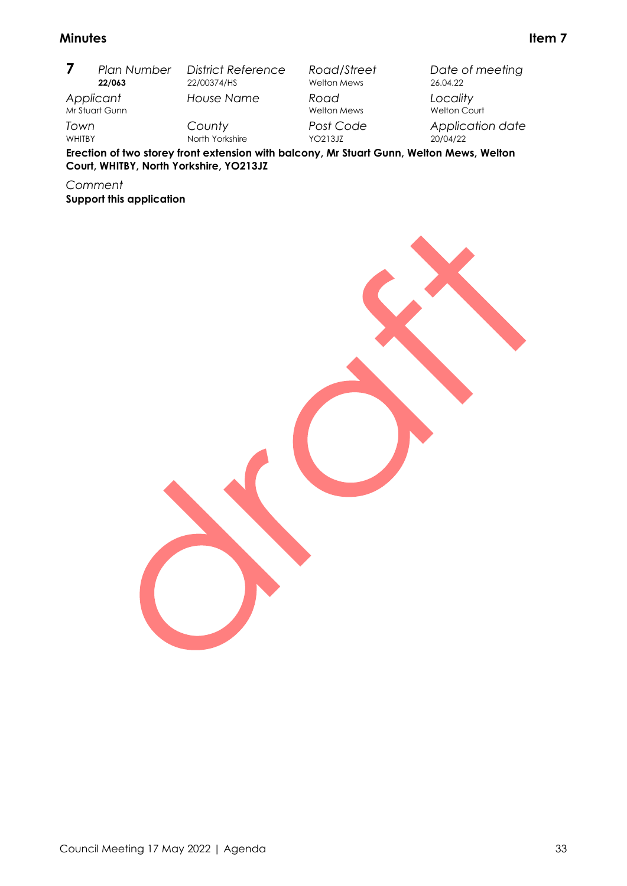|               | <b>Plan Number</b>                                                                      | <b>District Reference</b> | Road/Street                | Date of meeting                 |
|---------------|-----------------------------------------------------------------------------------------|---------------------------|----------------------------|---------------------------------|
|               | 22/063                                                                                  | 22/00374/HS               | <b>Welton Mews</b>         | 26.04.22                        |
| Applicant     | Mr Stuart Gunn                                                                          | House Name                | Road<br><b>Welton Mews</b> | Locality<br><b>Welton Court</b> |
| Town          |                                                                                         | County                    | Post Code                  | Application date                |
| <b>WHITBY</b> |                                                                                         | North Yorkshire           | YO213.JZ                   | 20/04/22                        |
|               | Fraction of two staroy front oxtonsion with belocay Mr Stuart Cunn. Walton Mouse Walton |                           |                            |                                 |

**Erection of two storey front extension with balcony, Mr Stuart Gunn, Welton Mews, Welton Court, WHITBY, North Yorkshire, YO213JZ**

*Comment*

**Support this application**

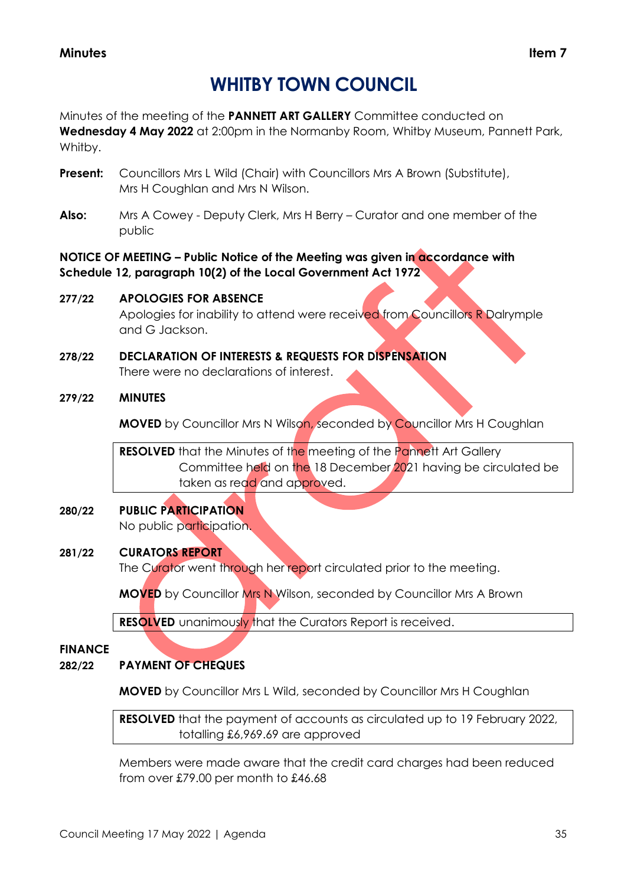## **WHITBY TOWN COUNCIL**

Minutes of the meeting of the **PANNETT ART GALLERY** Committee conducted on **Wednesday 4 May 2022** at 2:00pm in the Normanby Room, Whitby Museum, Pannett Park, Whitby.

- **Present:** Councillors Mrs L Wild (Chair) with Councillors Mrs A Brown (Substitute), Mrs H Coughlan and Mrs N Wilson.
- **Also:** Mrs A Cowey Deputy Clerk, Mrs H Berry Curator and one member of the public

**NOTICE OF MEETING – Public Notice of the Meeting was given in accordance with Schedule 12, paragraph 10(2) of the Local Government Act 1972**

## **277/22 APOLOGIES FOR ABSENCE**

Apologies for inability to attend were received from Councillors R Dalrymple and G Jackson.

**278/22 DECLARATION OF INTERESTS & REQUESTS FOR DISPENSATION** There were no declarations of interest.

## **279/22 MINUTES**

**MOVED** by Councillor Mrs N Wilson, seconded by Councillor Mrs H Coughlan

**RESOLVED** that the Minutes of the meeting of the Pannett Art Gallery Committee held on the 18 December 2021 having be circulated be taken as read and approved.

#### **280/22 PUBLIC PARTICIPATION** No public participation.

## **281/22 CURATORS REPORT**

The Curator went through her report circulated prior to the meeting.

**MOVED** by Councillor Mrs N Wilson, seconded by Councillor Mrs A Brown

**RESOLVED** unanimously that the Curators Report is received.

## **FINANCE**

## **282/22 PAYMENT OF CHEQUES**

**MOVED** by Councillor Mrs L Wild, seconded by Councillor Mrs H Coughlan

**RESOLVED** that the payment of accounts as circulated up to 19 February 2022, totalling £6,969.69 are approved

Members were made aware that the credit card charges had been reduced from over £79.00 per month to £46.68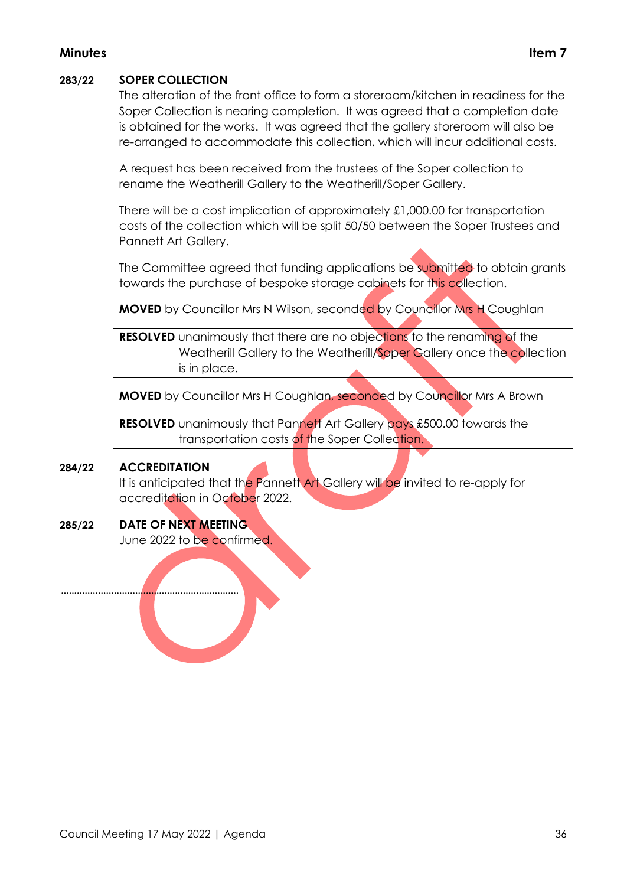## **283/22 SOPER COLLECTION**

The alteration of the front office to form a storeroom/kitchen in readiness for the Soper Collection is nearing completion. It was agreed that a completion date is obtained for the works. It was agreed that the gallery storeroom will also be re-arranged to accommodate this collection, which will incur additional costs.

A request has been received from the trustees of the Soper collection to rename the Weatherill Gallery to the Weatherill/Soper Gallery.

There will be a cost implication of approximately £1,000.00 for transportation costs of the collection which will be split 50/50 between the Soper Trustees and Pannett Art Gallery.

The Committee agreed that funding applications be submitted to obtain grants towards the purchase of bespoke storage cabinets for this collection.

**MOVED** by Councillor Mrs N Wilson, seconded by Councillor Mrs H Coughlan

**RESOLVED** unanimously that there are no objections to the renaming of the Weatherill Gallery to the Weatherill/Soper Gallery once the collection is in place.

**MOVED** by Councillor Mrs H Coughlan, seconded by Councillor Mrs A Brown

**RESOLVED** unanimously that Pannett Art Gallery pays £500.00 towards the transportation costs of the Soper Collection.

## **284/22 ACCREDITATION**

It is anticipated that the Pannett Art Gallery will be invited to re-apply for accreditation in October 2022.

## **285/22 DATE OF NEXT MEETING**

...................................................................

June 2022 to be confirmed.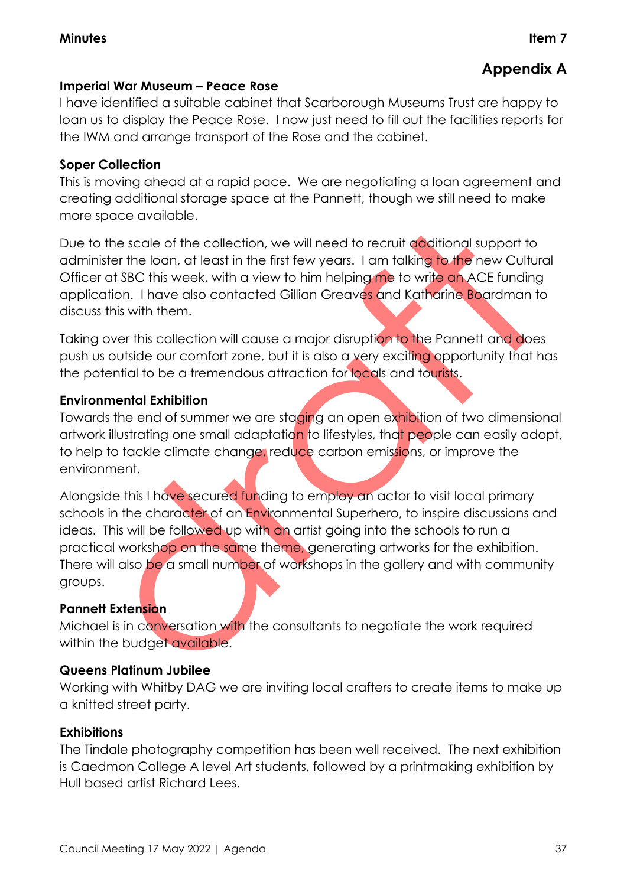## **Appendix A**

## **Imperial War Museum – Peace Rose**

I have identified a suitable cabinet that Scarborough Museums Trust are happy to loan us to display the Peace Rose. I now just need to fill out the facilities reports for the IWM and arrange transport of the Rose and the cabinet.

## **Soper Collection**

This is moving ahead at a rapid pace. We are negotiating a loan agreement and creating additional storage space at the Pannett, though we still need to make more space available.

Due to the scale of the collection, we will need to recruit additional support to administer the loan, at least in the first few years. I am talking to the new Cultural Officer at SBC this week, with a view to him helping me to write an ACE funding application. I have also contacted Gillian Greaves and Katharine Boardman to discuss this with them.

Taking over this collection will cause a major disruption to the Pannett and does push us outside our comfort zone, but it is also a very exciting opportunity that has the potential to be a tremendous attraction for locals and tourists.

## **Environmental Exhibition**

Towards the end of summer we are staging an open exhibition of two dimensional artwork illustrating one small adaptation to lifestyles, that people can easily adopt, to help to tackle climate change, reduce carbon emissions, or improve the environment.

Alongside this I have secured funding to employ an actor to visit local primary schools in the character of an Environmental Superhero, to inspire discussions and ideas. This will be followed up with an artist going into the schools to run a practical workshop on the same theme, generating artworks for the exhibition. There will also be a small number of workshops in the gallery and with community groups.

## **Pannett Extension**

Michael is in conversation with the consultants to negotiate the work required within the budget available.

## **Queens Platinum Jubilee**

Working with Whitby DAG we are inviting local crafters to create items to make up a knitted street party.

## **Exhibitions**

The Tindale photography competition has been well received. The next exhibition is Caedmon College A level Art students, followed by a printmaking exhibition by Hull based artist Richard Lees.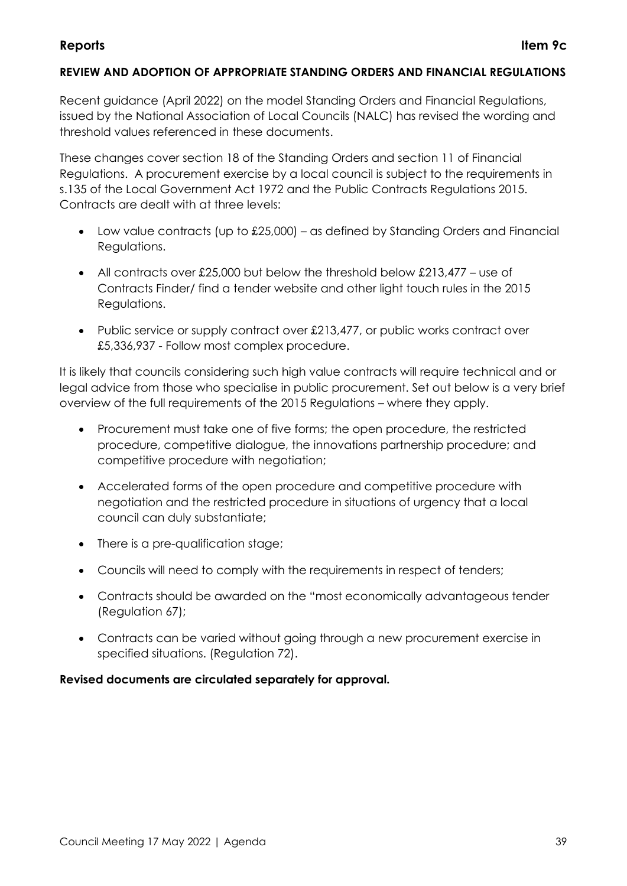## **REVIEW AND ADOPTION OF APPROPRIATE STANDING ORDERS AND FINANCIAL REGULATIONS**

Recent guidance (April 2022) on the model Standing Orders and Financial Regulations, issued by the National Association of Local Councils (NALC) has revised the wording and threshold values referenced in these documents.

These changes cover section 18 of the Standing Orders and section 11 of Financial Regulations. A procurement exercise by a local council is subject to the requirements in s.135 of the Local Government Act 1972 and the Public Contracts Regulations 2015. Contracts are dealt with at three levels:

- Low value contracts (up to £25,000) as defined by Standing Orders and Financial Regulations.
- All contracts over £25,000 but below the threshold below  $£213,477 -$  use of Contracts Finder/ find a tender website and other light touch rules in the 2015 Regulations.
- Public service or supply contract over £213,477, or public works contract over £5,336,937 - Follow most complex procedure.

It is likely that councils considering such high value contracts will require technical and or legal advice from those who specialise in public procurement. Set out below is a very brief overview of the full requirements of the 2015 Regulations – where they apply.

- Procurement must take one of five forms; the open procedure, the restricted procedure, competitive dialogue, the innovations partnership procedure; and competitive procedure with negotiation;
- Accelerated forms of the open procedure and competitive procedure with negotiation and the restricted procedure in situations of urgency that a local council can duly substantiate;
- There is a pre-qualification stage;
- Councils will need to comply with the requirements in respect of tenders;
- Contracts should be awarded on the "most economically advantageous tender (Regulation 67);
- Contracts can be varied without going through a new procurement exercise in specified situations. (Regulation 72).

## **Revised documents are circulated separately for approval.**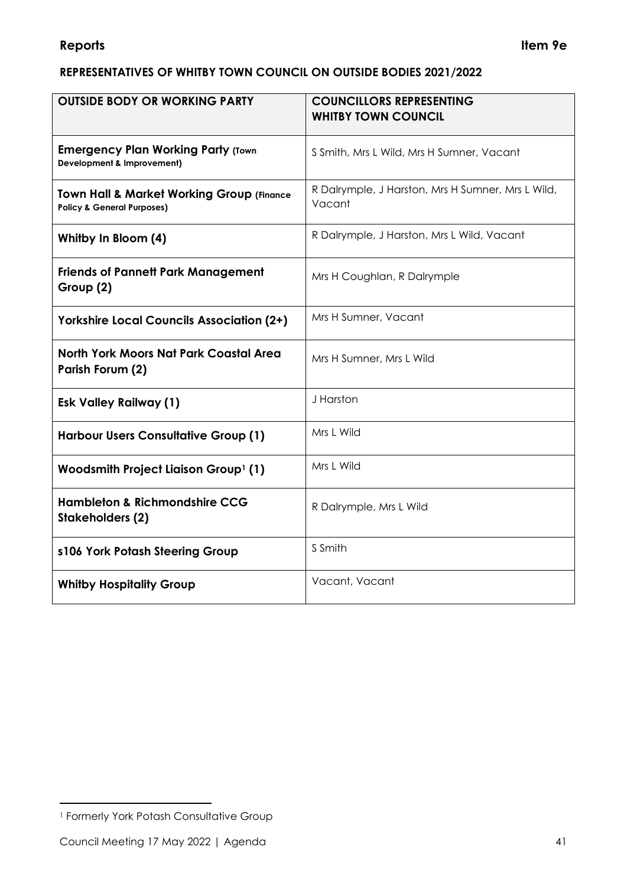## **REPRESENTATIVES OF WHITBY TOWN COUNCIL ON OUTSIDE BODIES 2021/2022**

| <b>OUTSIDE BODY OR WORKING PARTY</b>                                                          | <b>COUNCILLORS REPRESENTING</b><br><b>WHITBY TOWN COUNCIL</b> |
|-----------------------------------------------------------------------------------------------|---------------------------------------------------------------|
| <b>Emergency Plan Working Party (Town</b><br><b>Development &amp; Improvement)</b>            | S Smith, Mrs L Wild, Mrs H Sumner, Vacant                     |
| <b>Town Hall &amp; Market Working Group (Finance</b><br><b>Policy &amp; General Purposes)</b> | R Dalrymple, J Harston, Mrs H Sumner, Mrs L Wild,<br>Vacant   |
| Whitby In Bloom (4)                                                                           | R Dalrymple, J Harston, Mrs L Wild, Vacant                    |
| <b>Friends of Pannett Park Management</b><br>Group (2)                                        | Mrs H Coughlan, R Dalrymple                                   |
| <b>Yorkshire Local Councils Association (2+)</b>                                              | Mrs H Sumner, Vacant                                          |
| <b>North York Moors Nat Park Coastal Area</b><br>Parish Forum (2)                             | Mrs H Sumner, Mrs L Wild                                      |
| <b>Esk Valley Railway (1)</b>                                                                 | J Harston                                                     |
| <b>Harbour Users Consultative Group (1)</b>                                                   | Mrs L Wild                                                    |
| Woodsmith Project Liaison Group <sup>1</sup> (1)                                              | Mrs L Wild                                                    |
| <b>Hambleton &amp; Richmondshire CCG</b><br><b>Stakeholders (2)</b>                           | R Dalrymple, Mrs L Wild                                       |
| s106 York Potash Steering Group                                                               | S Smith                                                       |
| <b>Whitby Hospitality Group</b>                                                               | Vacant, Vacant                                                |

<sup>1</sup> Formerly York Potash Consultative Group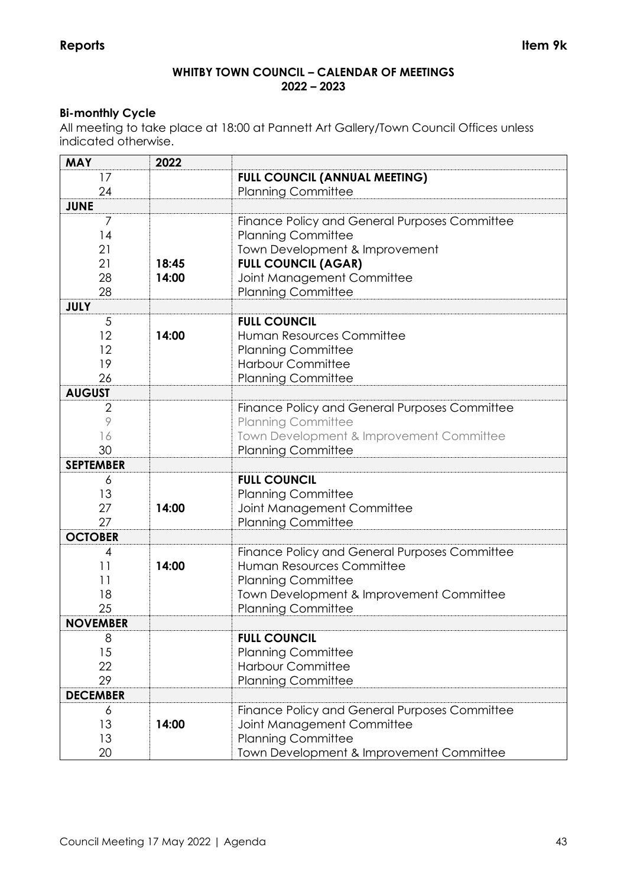## **WHITBY TOWN COUNCIL – CALENDAR OF MEETINGS 2022 – 2023**

## **Bi-monthly Cycle**

All meeting to take place at 18:00 at Pannett Art Gallery/Town Council Offices unless indicated otherwise.

| <b>MAY</b>       | 2022  |                                               |
|------------------|-------|-----------------------------------------------|
| 17               |       | <b>FULL COUNCIL (ANNUAL MEETING)</b>          |
| 24               |       | <b>Planning Committee</b>                     |
| <b>JUNE</b>      |       |                                               |
| $\overline{7}$   |       | Finance Policy and General Purposes Committee |
| 14               |       | <b>Planning Committee</b>                     |
| 21               |       | Town Development & Improvement                |
| 21               | 18:45 | <b>FULL COUNCIL (AGAR)</b>                    |
| 28               | 14:00 | Joint Management Committee                    |
| 28               |       | <b>Planning Committee</b>                     |
| <b>JULY</b>      |       |                                               |
| 5                |       | <b>FULL COUNCIL</b>                           |
| 12               | 14:00 | Human Resources Committee                     |
| 12               |       | <b>Planning Committee</b>                     |
| 19               |       | <b>Harbour Committee</b>                      |
| 26               |       | <b>Planning Committee</b>                     |
| <b>AUGUST</b>    |       |                                               |
| $\overline{2}$   |       | Finance Policy and General Purposes Committee |
| 9                |       | <b>Planning Committee</b>                     |
| 16               |       | Town Development & Improvement Committee      |
| 30               |       | <b>Planning Committee</b>                     |
| <b>SEPTEMBER</b> |       |                                               |
| 6                |       | <b>FULL COUNCIL</b>                           |
| 13               |       | <b>Planning Committee</b>                     |
| 27               | 14:00 | Joint Management Committee                    |
| 27               |       | <b>Planning Committee</b>                     |
| <b>OCTOBER</b>   |       |                                               |
| 4                |       | Finance Policy and General Purposes Committee |
| 11               | 14:00 | Human Resources Committee                     |
| 11               |       | <b>Planning Committee</b>                     |
| 18               |       | Town Development & Improvement Committee      |
| 25               |       | <b>Planning Committee</b>                     |
| <b>NOVEMBER</b>  |       |                                               |
| 8                |       | <b>FULL COUNCIL</b>                           |
| 15               |       | <b>Planning Committee</b>                     |
| 22               |       | <b>Harbour Committee</b>                      |
| 29               |       | <b>Planning Committee</b>                     |
| <b>DECEMBER</b>  |       |                                               |
| 6                |       | Finance Policy and General Purposes Committee |
| 13               | 14:00 | Joint Management Committee                    |
| 13               |       | <b>Planning Committee</b>                     |
| 20               |       | Town Development & Improvement Committee      |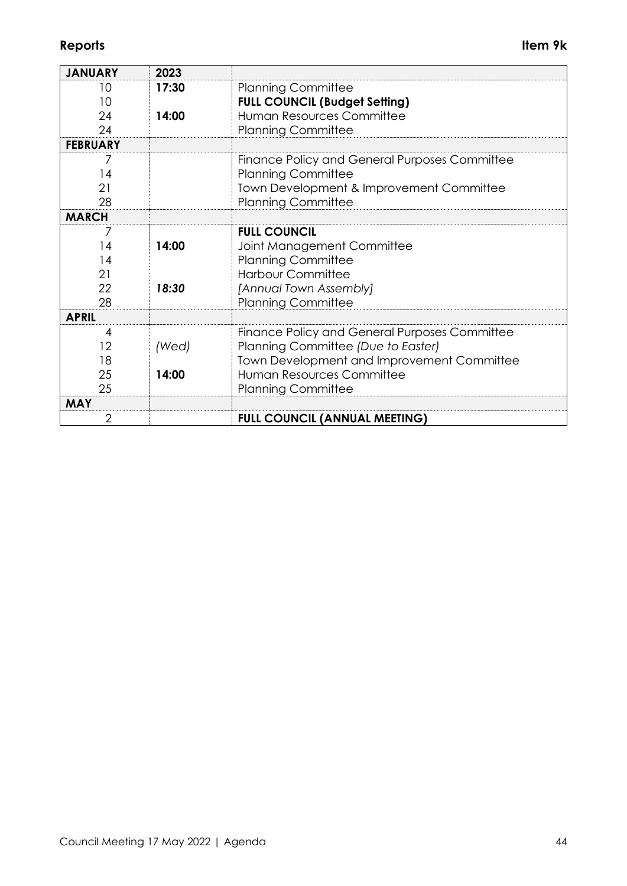| <b>JANUARY</b>  | 2023  |                                               |
|-----------------|-------|-----------------------------------------------|
| 10              | 17:30 | <b>Planning Committee</b>                     |
| 10              |       | <b>FULL COUNCIL (Budget Setting)</b>          |
| 24              | 14:00 | Human Resources Committee                     |
| 24              |       | <b>Planning Committee</b>                     |
| <b>FEBRUARY</b> |       |                                               |
| 7               |       | Finance Policy and General Purposes Committee |
| 14              |       | <b>Planning Committee</b>                     |
| 21              |       | Town Development & Improvement Committee      |
| 28              |       | <b>Planning Committee</b>                     |
| <b>MARCH</b>    |       |                                               |
| 7               |       | <b>FULL COUNCIL</b>                           |
| 14              | 14:00 | Joint Management Committee                    |
| 14              |       | <b>Planning Committee</b>                     |
| 21              |       | <b>Harbour Committee</b>                      |
| 22              | 18:30 | [Annual Town Assembly]                        |
| 28              |       | <b>Planning Committee</b>                     |
| <b>APRIL</b>    |       |                                               |
| 4               |       | Finance Policy and General Purposes Committee |
| 12              | (Wed) | Planning Committee (Due to Easter)            |
| 18              |       | Town Development and Improvement Committee    |
| 25              | 14:00 | Human Resources Committee                     |
| 25              |       | <b>Planning Committee</b>                     |
| <b>MAY</b>      |       |                                               |
| $\overline{2}$  |       | <b>FULL COUNCIL (ANNUAL MEETING)</b>          |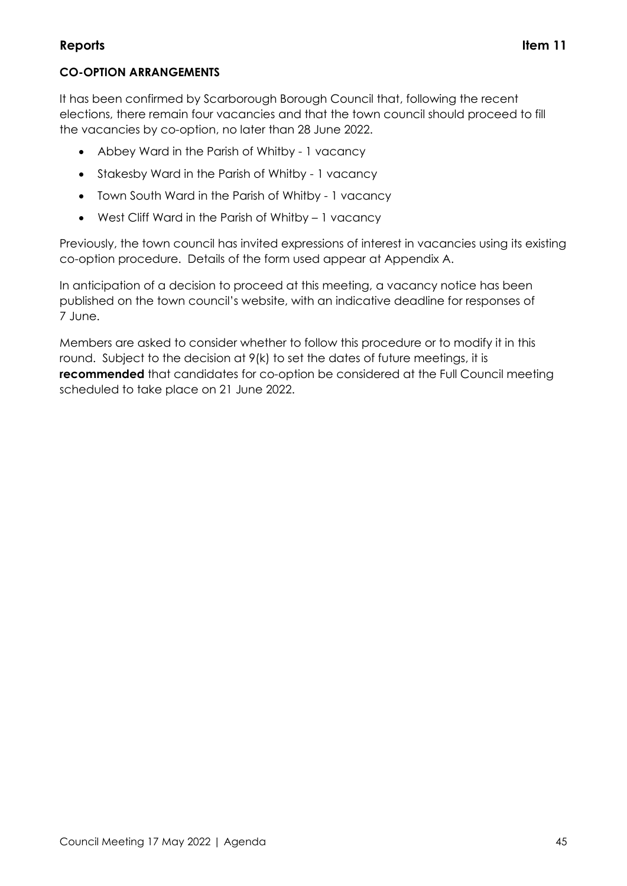## **Reports Item 11**

It has been confirmed by Scarborough Borough Council that, following the recent elections, there remain four vacancies and that the town council should proceed to fill the vacancies by co-option, no later than 28 June 2022.

- Abbey Ward in the Parish of Whitby 1 vacancy
- Stakesby Ward in the Parish of Whitby 1 vacancy
- Town South Ward in the Parish of Whitby 1 vacancy
- West Cliff Ward in the Parish of Whitby 1 vacancy

Previously, the town council has invited expressions of interest in vacancies using its existing co-option procedure. Details of the form used appear at Appendix A.

In anticipation of a decision to proceed at this meeting, a vacancy notice has been published on the town council's website, with an indicative deadline for responses of 7 June.

Members are asked to consider whether to follow this procedure or to modify it in this round. Subject to the decision at 9(k) to set the dates of future meetings, it is **recommended** that candidates for co-option be considered at the Full Council meeting scheduled to take place on 21 June 2022.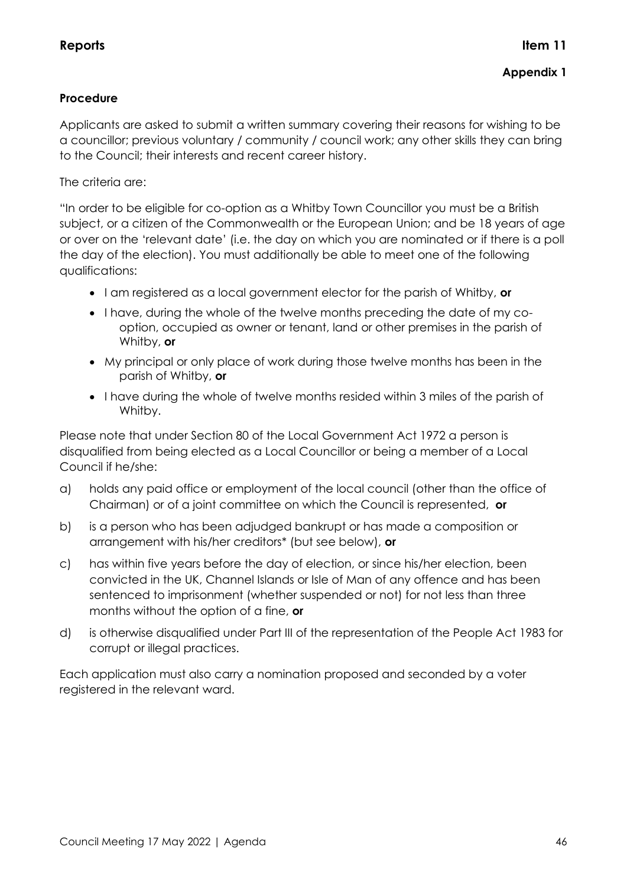## **Procedure**

Applicants are asked to submit a written summary covering their reasons for wishing to be a councillor; previous voluntary / community / council work; any other skills they can bring to the Council; their interests and recent career history.

The criteria are:

"In order to be eligible for co-option as a Whitby Town Councillor you must be a British subject, or a citizen of the Commonwealth or the European Union; and be 18 years of age or over on the 'relevant date' (i.e. the day on which you are nominated or if there is a poll the day of the election). You must additionally be able to meet one of the following qualifications:

- I am registered as a local government elector for the parish of Whitby, **or**
- I have, during the whole of the twelve months preceding the date of my cooption, occupied as owner or tenant, land or other premises in the parish of Whitby, **or**
- My principal or only place of work during those twelve months has been in the parish of Whitby, **or**
- I have during the whole of twelve months resided within 3 miles of the parish of Whitby.

Please note that under Section 80 of the Local Government Act 1972 a person is disqualified from being elected as a Local Councillor or being a member of a Local Council if he/she:

- a) holds any paid office or employment of the local council (other than the office of Chairman) or of a joint committee on which the Council is represented, **or**
- b) is a person who has been adjudged bankrupt or has made a composition or arrangement with his/her creditors\* (but see below), **or**
- c) has within five years before the day of election, or since his/her election, been convicted in the UK, Channel Islands or Isle of Man of any offence and has been sentenced to imprisonment (whether suspended or not) for not less than three months without the option of a fine, **or**
- d) is otherwise disqualified under Part III of the representation of the People Act 1983 for corrupt or illegal practices.

Each application must also carry a nomination proposed and seconded by a voter registered in the relevant ward.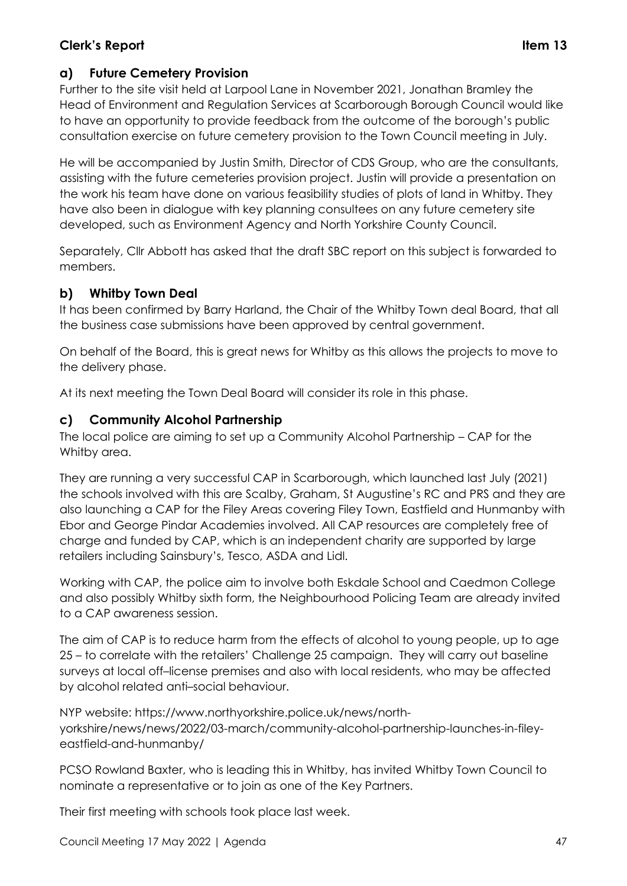## **Clerk's Report Item 13**

## **a) Future Cemetery Provision**

Further to the site visit held at Larpool Lane in November 2021, Jonathan Bramley the Head of Environment and Regulation Services at Scarborough Borough Council would like to have an opportunity to provide feedback from the outcome of the borough's public consultation exercise on future cemetery provision to the Town Council meeting in July.

He will be accompanied by Justin Smith, Director of CDS Group, who are the consultants, assisting with the future cemeteries provision project. Justin will provide a presentation on the work his team have done on various feasibility studies of plots of land in Whitby. They have also been in dialogue with key planning consultees on any future cemetery site developed, such as Environment Agency and North Yorkshire County Council.

Separately, Cllr Abbott has asked that the draft SBC report on this subject is forwarded to members.

## **b) Whitby Town Deal**

It has been confirmed by Barry Harland, the Chair of the Whitby Town deal Board, that all the business case submissions have been approved by central government.

On behalf of the Board, this is great news for Whitby as this allows the projects to move to the delivery phase.

At its next meeting the Town Deal Board will consider its role in this phase.

## **c) Community Alcohol Partnership**

The local police are aiming to set up a Community Alcohol Partnership – CAP for the Whitby area.

They are running a very successful CAP in Scarborough, which launched last July (2021) the schools involved with this are Scalby, Graham, St Augustine's RC and PRS and they are also launching a CAP for the Filey Areas covering Filey Town, Eastfield and Hunmanby with Ebor and George Pindar Academies involved. All CAP resources are completely free of charge and funded by CAP, which is an independent charity are supported by large retailers including Sainsbury's, Tesco, ASDA and Lidl.

Working with CAP, the police aim to involve both Eskdale School and Caedmon College and also possibly Whitby sixth form, the Neighbourhood Policing Team are already invited to a CAP awareness session.

The aim of CAP is to reduce harm from the effects of alcohol to young people, up to age 25 – to correlate with the retailers' Challenge 25 campaign. They will carry out baseline surveys at local off–license premises and also with local residents, who may be affected by alcohol related anti–social behaviour.

NYP website: https://www.northyorkshire.police.uk/news/northyorkshire/news/news/2022/03-march/community-alcohol-partnership-launches-in-fileyeastfield-and-hunmanby/

PCSO Rowland Baxter, who is leading this in Whitby, has invited Whitby Town Council to nominate a representative or to join as one of the Key Partners.

Their first meeting with schools took place last week.